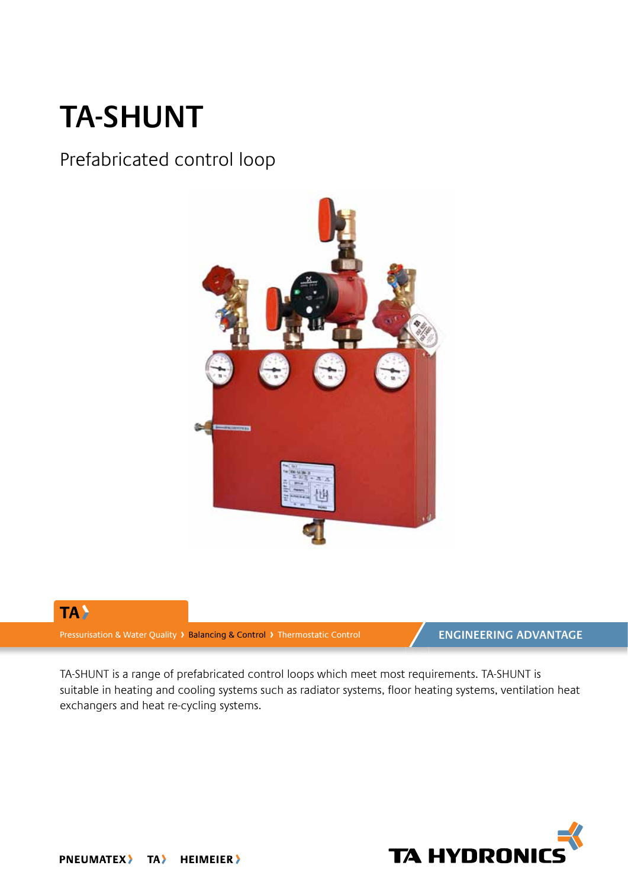## **TA-SHUNT**

### Prefabricated control loop





Pressurisation & Water Quality > Balancing & Control > Thermostatic Control

**ENGINEERING ADVANTAGE** 

TA-SHUNT is a range of prefabricated control loops which meet most requirements. TA-SHUNT is suitable in heating and cooling systems such as radiator systems, floor heating systems, ventilation heat exchangers and heat re-cycling systems.

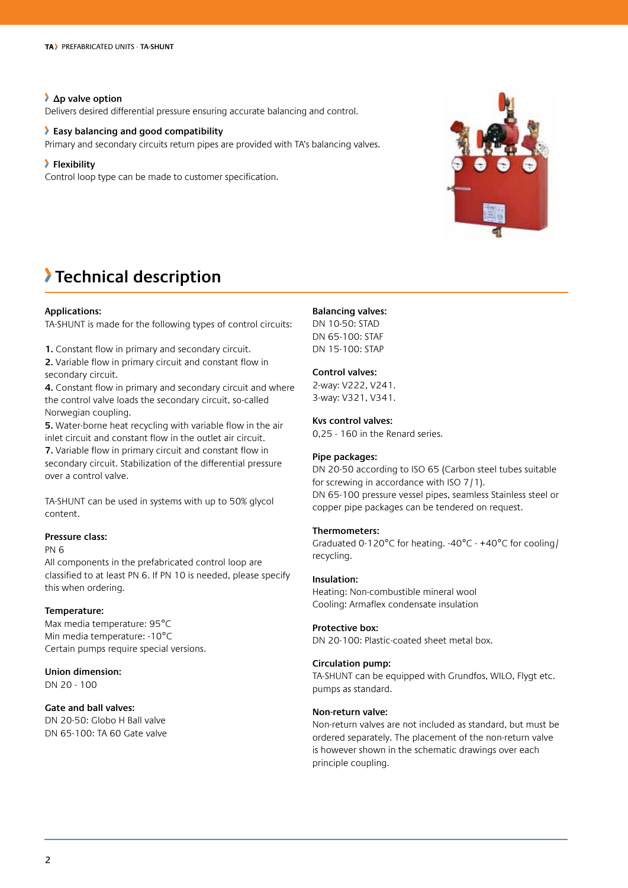#### **Δp valve option**

Delivers desired differential pressure ensuring accurate balancing and control.

#### **Easy balancing and good compatibility**

Primary and secondary circuits return pipes are provided with TA's balancing valves.

#### **Flexibility**

Control loop type can be made to customer specification.



### **Technical description**

#### **Applications:**

TA-SHUNT is made for the following types of control circuits:

**1.** Constant flow in primary and secondary circuit.

**2.** Variable flow in primary circuit and constant flow in secondary circuit.

**4.** Constant flow in primary and secondary circuit and where the control valve loads the secondary circuit, so-called Norwegian coupling.

**5.** Water-borne heat recycling with variable flow in the air inlet circuit and constant flow in the outlet air circuit.

**7.** Variable flow in primary circuit and constant flow in secondary circuit. Stabilization of the differential pressure over a control valve.

TA-SHUNT can be used in systems with up to 50% glycol content.

#### **Pressure class:**

#### PN 6

All components in the prefabricated control loop are classified to at least PN 6. If PN 10 is needed, please specify this when ordering.

#### **Temperature:**

Max media temperature: 95°C Min media temperature: -10°C Certain pumps require special versions.

**Union dimension:** DN 20 - 100

#### **Gate and ball valves:**

DN 20-50: Globo H Ball valve DN 65-100: TA 60 Gate valve

#### **Balancing valves:**

DN 10-50: STAD DN 65-100: STAF DN 15-100: STAP

#### **Control valves:**

2-way: V222, V241. 3-way: V321, V341.

#### **Kvs control valves:**

0,25 - 160 in the Renard series.

#### **Pipe packages:**

DN 20-50 according to ISO 65 (Carbon steel tubes suitable for screwing in accordance with ISO 7/1). DN 65-100 pressure vessel pipes, seamless Stainless steel or copper pipe packages can be tendered on request.

#### **Thermometers:**

Graduated 0-120°C for heating. -40°C - +40°C for cooling/ recycling.

#### **Insulation:**

Heating: Non-combustible mineral wool Cooling: Armaflex condensate insulation

#### **Protective box:**

DN 20-100: Plastic-coated sheet metal box.

#### **Circulation pump:**

TA-SHUNT can be equipped with Grundfos, WILO, Flygt etc. pumps as standard.

#### **Non-return valve:**

Non-return valves are not included as standard, but must be ordered separately. The placement of the non-return valve is however shown in the schematic drawings over each principle coupling.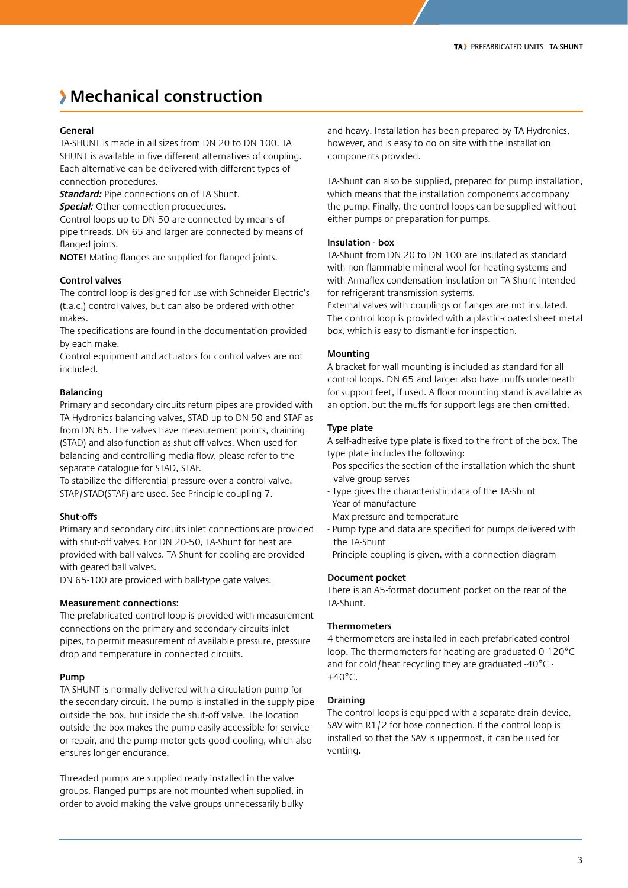### **Mechanical construction**

#### **General**

TA-SHUNT is made in all sizes from DN 20 to DN 100. TA SHUNT is available in five different alternatives of coupling. Each alternative can be delivered with different types of connection procedures.

**Standard:** Pipe connections on of TA Shunt.

*Special:* Other connection procuedures.

Control loops up to DN 50 are connected by means of pipe threads. DN 65 and larger are connected by means of flanged joints.

**NOTE!** Mating flanges are supplied for flanged joints.

#### **Control valves**

The control loop is designed for use with Schneider Electric's (t.a.c.) control valves, but can also be ordered with other makes.

The specifications are found in the documentation provided by each make.

Control equipment and actuators for control valves are not included.

#### **Balancing**

Primary and secondary circuits return pipes are provided with TA Hydronics balancing valves, STAD up to DN 50 and STAF as from DN 65. The valves have measurement points, draining (STAD) and also function as shut-off valves. When used for balancing and controlling media flow, please refer to the separate catalogue for STAD, STAF.

To stabilize the differential pressure over a control valve, STAP/STAD(STAF) are used. See Principle coupling 7.

#### **Shut-offs**

Primary and secondary circuits inlet connections are provided with shut-off valves. For DN 20-50, TA-Shunt for heat are provided with ball valves. TA-Shunt for cooling are provided with geared ball valves.

DN 65-100 are provided with ball-type gate valves.

#### **Measurement connections:**

The prefabricated control loop is provided with measurement connections on the primary and secondary circuits inlet pipes, to permit measurement of available pressure, pressure drop and temperature in connected circuits.

#### **Pump**

TA-SHUNT is normally delivered with a circulation pump for the secondary circuit. The pump is installed in the supply pipe outside the box, but inside the shut-off valve. The location outside the box makes the pump easily accessible for service or repair, and the pump motor gets good cooling, which also ensures longer endurance.

Threaded pumps are supplied ready installed in the valve groups. Flanged pumps are not mounted when supplied, in order to avoid making the valve groups unnecessarily bulky and heavy. Installation has been prepared by TA Hydronics, however, and is easy to do on site with the installation components provided.

TA-Shunt can also be supplied, prepared for pump installation, which means that the installation components accompany the pump. Finally, the control loops can be supplied without either pumps or preparation for pumps.

#### **Insulation - box**

TA-Shunt from DN 20 to DN 100 are insulated as standard with non-flammable mineral wool for heating systems and with Armaflex condensation insulation on TA-Shunt intended for refrigerant transmission systems.

External valves with couplings or flanges are not insulated. The control loop is provided with a plastic-coated sheet metal box, which is easy to dismantle for inspection.

#### **Mounting**

A bracket for wall mounting is included as standard for all control loops. DN 65 and larger also have muffs underneath for support feet, if used. A floor mounting stand is available as an option, but the muffs for support legs are then omitted.

#### **Type plate**

A self-adhesive type plate is fixed to the front of the box. The type plate includes the following:

- Pos specifies the section of the installation which the shunt valve group serves
- Type gives the characteristic data of the TA-Shunt
- Year of manufacture
- Max pressure and temperature
- Pump type and data are specified for pumps delivered with the TA-Shunt
- Principle coupling is given, with a connection diagram

#### **Document pocket**

There is an A5-format document pocket on the rear of the TA-Shunt.

#### **Thermometers**

4 thermometers are installed in each prefabricated control loop. The thermometers for heating are graduated 0-120°C and for cold/heat recycling they are graduated -40°C -  $+40^{\circ}$ C.

#### **Draining**

The control loops is equipped with a separate drain device, SAV with R1/2 for hose connection. If the control loop is installed so that the SAV is uppermost, it can be used for venting.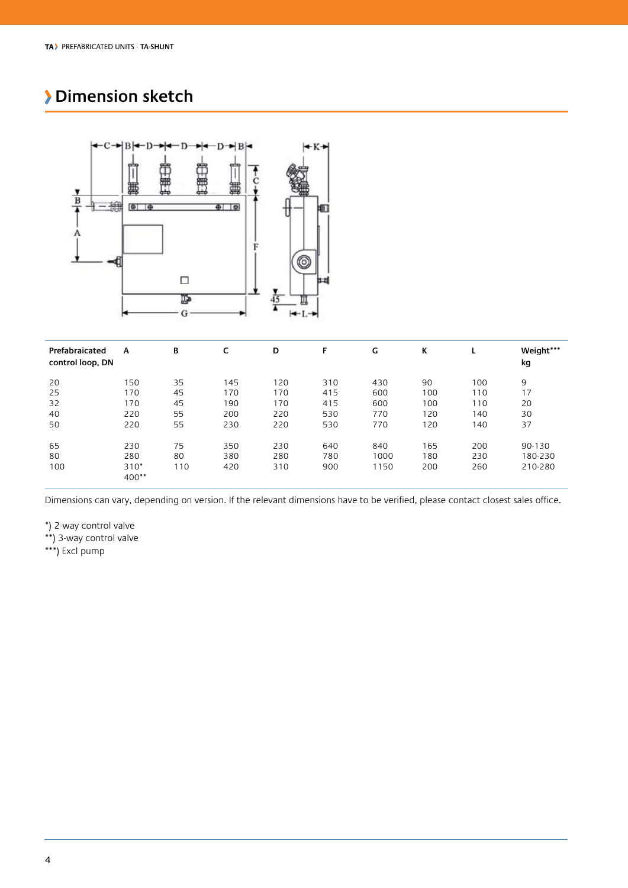### **Dimension sketch**



| Prefabraicated<br>control loop, DN | A                 | В   | c   | D   | F   | G    | ĸ   | L   | Weight***<br>kg |
|------------------------------------|-------------------|-----|-----|-----|-----|------|-----|-----|-----------------|
| 20                                 | 150               | 35  | 145 | 120 | 310 | 430  | 90  | 100 | 9               |
| 25                                 | 170               | 45  | 170 | 170 | 415 | 600  | 100 | 110 | 17              |
| 32                                 | 170               | 45  | 190 | 170 | 415 | 600  | 100 | 110 | 20              |
| 40                                 | 220               | 55  | 200 | 220 | 530 | 770  | 120 | 140 | 30              |
| 50                                 | 220               | 55  | 230 | 220 | 530 | 770  | 120 | 140 | 37              |
| 65                                 | 230               | 75  | 350 | 230 | 640 | 840  | 165 | 200 | 90-130          |
| 80                                 | 280               | 80  | 380 | 280 | 780 | 1000 | 180 | 230 | 180-230         |
| 100                                | $310*$<br>$400**$ | 110 | 420 | 310 | 900 | 1150 | 200 | 260 | 210-280         |

Dimensions can vary, depending on version. If the relevant dimensions have to be verified, please contact closest sales office.

\*) 2-way control valve

\*\*) 3-way control valve

\*\*\*) Excl pump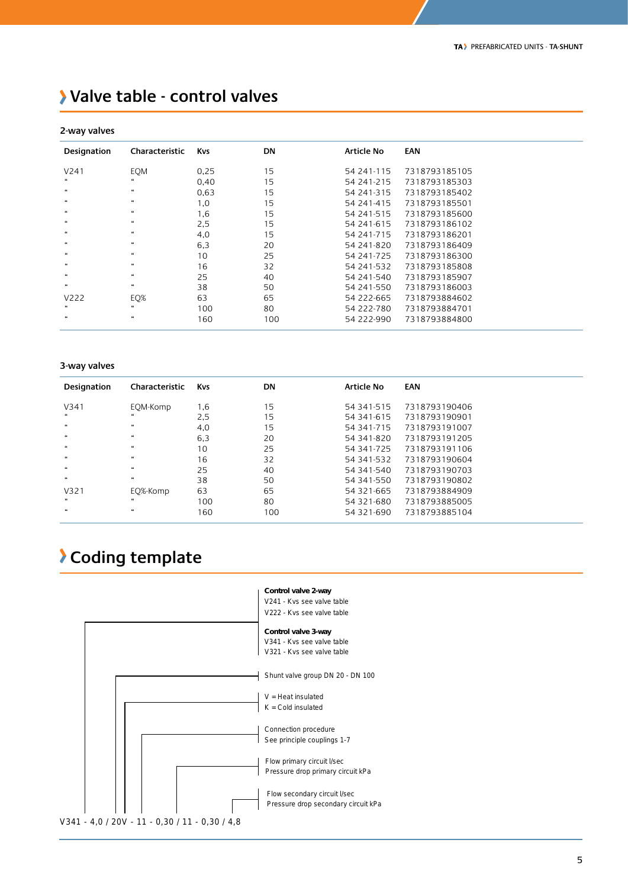### **Valve table - control valves**

#### **2-way valves**

| z-way vaives                |                             |            |           |                   |               |
|-----------------------------|-----------------------------|------------|-----------|-------------------|---------------|
| Designation                 | Characteristic              | <b>Kvs</b> | <b>DN</b> | <b>Article No</b> | <b>EAN</b>    |
| V241                        | <b>EOM</b>                  | 0.25       | 15        | 54 241-115        | 7318793185105 |
|                             | $\boldsymbol{\epsilon}$     | 0,40       | 15        | 54 241-215        | 7318793185303 |
| $\boldsymbol{\mu}$          | $\boldsymbol{\mathfrak{c}}$ | 0,63       | 15        | 54 241-315        | 7318793185402 |
| $\boldsymbol{\mu}$          | $\boldsymbol{\mathfrak{c}}$ | 1,0        | 15        | 54 241-415        | 7318793185501 |
| $\boldsymbol{\mu}$          | $\boldsymbol{\mathfrak{c}}$ | 1,6        | 15        | 54 241-515        | 7318793185600 |
| $\epsilon$                  | $\boldsymbol{\mathfrak{c}}$ | 2,5        | 15        | 54 241-615        | 7318793186102 |
| $\boldsymbol{\epsilon}$     | $\boldsymbol{\mathfrak{c}}$ | 4,0        | 15        | 54 241-715        | 7318793186201 |
| $\boldsymbol{\mathfrak{u}}$ | $\boldsymbol{\mathfrak{c}}$ | 6,3        | 20        | 54 241-820        | 7318793186409 |
| $\epsilon$                  | $\boldsymbol{\mu}$          | 10         | 25        | 54 241-725        | 7318793186300 |
| $\epsilon$                  | $\boldsymbol{\mu}$          | 16         | 32        | 54 241-532        | 7318793185808 |
| $\epsilon$                  | $\boldsymbol{\mu}$          | 25         | 40        | 54 241-540        | 7318793185907 |
| $\boldsymbol{\mathfrak{u}}$ | $\boldsymbol{\mu}$          | 38         | 50        | 54 241-550        | 7318793186003 |
| V222                        | EQ%                         | 63         | 65        | 54 222-665        | 7318793884602 |
|                             | $\epsilon$                  | 100        | 80        | 54 222-780        | 7318793884701 |
| $\overline{\mathbf{u}}$     | $\boldsymbol{\mathfrak{u}}$ | 160        | 100       | 54 222-990        | 7318793884800 |

#### **3-way valves**

| Designation<br>Characteristic<br><b>DN</b><br><b>Article No</b><br><b>EAN</b><br><b>Kvs</b><br>15<br>7318793190406<br>V341<br>1,6<br>EOM-Komp<br>54 341-515<br>$\epsilon\epsilon$<br>66<br>15<br>2,5<br>7318793190901<br>54 341-615<br>$\boldsymbol{\mathfrak{u}}$<br>$\epsilon\epsilon$<br>15<br>4,0<br>7318793191007<br>54 341-715<br>$\boldsymbol{\mathfrak{u}}$<br>$\overline{\mathbf{u}}$<br>6,3<br>7318793191205<br>20<br>54 341-820<br>$\boldsymbol{\mathfrak{u}}$<br>$\epsilon\epsilon$<br>25<br>10<br>54 341-725<br>7318793191106<br>$\boldsymbol{\mathfrak{u}}$<br>$\boldsymbol{\mathfrak{c}}$<br>16<br>32<br>7318793190604<br>54 341-532<br>$\epsilon$<br>$\boldsymbol{\mathfrak{u}}$<br>25<br>40<br>7318793190703<br>54 341-540<br>$\boldsymbol{\mathfrak{u}}$<br>$\boldsymbol{\epsilon}\boldsymbol{\epsilon}$<br>38<br>50<br>54 341-550<br>7318793190802<br>63<br>65<br>7318793884909<br>V321<br>54 321-665<br>EQ%-Komp<br>$\epsilon\epsilon$<br>$\boldsymbol{\mu}$<br>80<br>100<br>54 321-680<br>7318793885005<br>$\overline{\mathbf{u}}$<br>$\boldsymbol{\mu}$<br>160<br>54 321-690<br>7318793885104<br>100 |  |  |  |
|----------------------------------------------------------------------------------------------------------------------------------------------------------------------------------------------------------------------------------------------------------------------------------------------------------------------------------------------------------------------------------------------------------------------------------------------------------------------------------------------------------------------------------------------------------------------------------------------------------------------------------------------------------------------------------------------------------------------------------------------------------------------------------------------------------------------------------------------------------------------------------------------------------------------------------------------------------------------------------------------------------------------------------------------------------------------------------------------------------------------------|--|--|--|
|                                                                                                                                                                                                                                                                                                                                                                                                                                                                                                                                                                                                                                                                                                                                                                                                                                                                                                                                                                                                                                                                                                                            |  |  |  |
|                                                                                                                                                                                                                                                                                                                                                                                                                                                                                                                                                                                                                                                                                                                                                                                                                                                                                                                                                                                                                                                                                                                            |  |  |  |
|                                                                                                                                                                                                                                                                                                                                                                                                                                                                                                                                                                                                                                                                                                                                                                                                                                                                                                                                                                                                                                                                                                                            |  |  |  |
|                                                                                                                                                                                                                                                                                                                                                                                                                                                                                                                                                                                                                                                                                                                                                                                                                                                                                                                                                                                                                                                                                                                            |  |  |  |
|                                                                                                                                                                                                                                                                                                                                                                                                                                                                                                                                                                                                                                                                                                                                                                                                                                                                                                                                                                                                                                                                                                                            |  |  |  |
|                                                                                                                                                                                                                                                                                                                                                                                                                                                                                                                                                                                                                                                                                                                                                                                                                                                                                                                                                                                                                                                                                                                            |  |  |  |
|                                                                                                                                                                                                                                                                                                                                                                                                                                                                                                                                                                                                                                                                                                                                                                                                                                                                                                                                                                                                                                                                                                                            |  |  |  |
|                                                                                                                                                                                                                                                                                                                                                                                                                                                                                                                                                                                                                                                                                                                                                                                                                                                                                                                                                                                                                                                                                                                            |  |  |  |
|                                                                                                                                                                                                                                                                                                                                                                                                                                                                                                                                                                                                                                                                                                                                                                                                                                                                                                                                                                                                                                                                                                                            |  |  |  |
|                                                                                                                                                                                                                                                                                                                                                                                                                                                                                                                                                                                                                                                                                                                                                                                                                                                                                                                                                                                                                                                                                                                            |  |  |  |
|                                                                                                                                                                                                                                                                                                                                                                                                                                                                                                                                                                                                                                                                                                                                                                                                                                                                                                                                                                                                                                                                                                                            |  |  |  |
|                                                                                                                                                                                                                                                                                                                                                                                                                                                                                                                                                                                                                                                                                                                                                                                                                                                                                                                                                                                                                                                                                                                            |  |  |  |

### **Coding template**

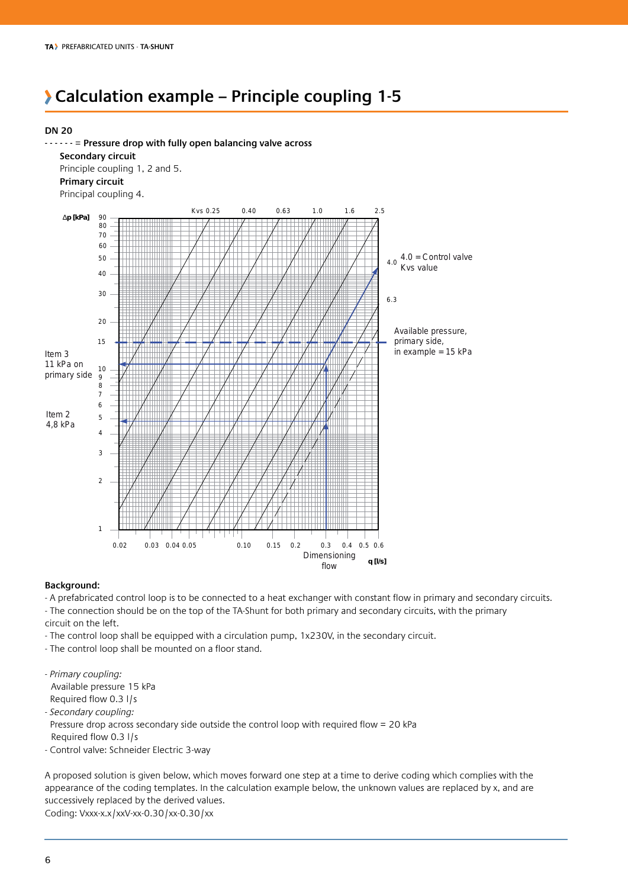### **Calculation example – Principle coupling 1-5**

#### **DN 20**



#### **Background:**

- A prefabricated control loop is to be connected to a heat exchanger with constant flow in primary and secondary circuits. - The connection should be on the top of the TA-Shunt for both primary and secondary circuits, with the primary circuit on the left.

- The control loop shall be equipped with a circulation pump, 1x230V, in the secondary circuit.
- The control loop shall be mounted on a floor stand.

*- Primary coupling:*  Available pressure 15 kPa Required flow 0.3 l/s

*- Secondary coupling:* 

 Pressure drop across secondary side outside the control loop with required flow = 20 kPa Required flow 0.3 l/s

- Control valve: Schneider Electric 3-way

A proposed solution is given below, which moves forward one step at a time to derive coding which complies with the appearance of the coding templates. In the calculation example below, the unknown values are replaced by x, and are successively replaced by the derived values. Coding: Vxxx-x.x/xxV-xx-0.30/xx-0.30/xx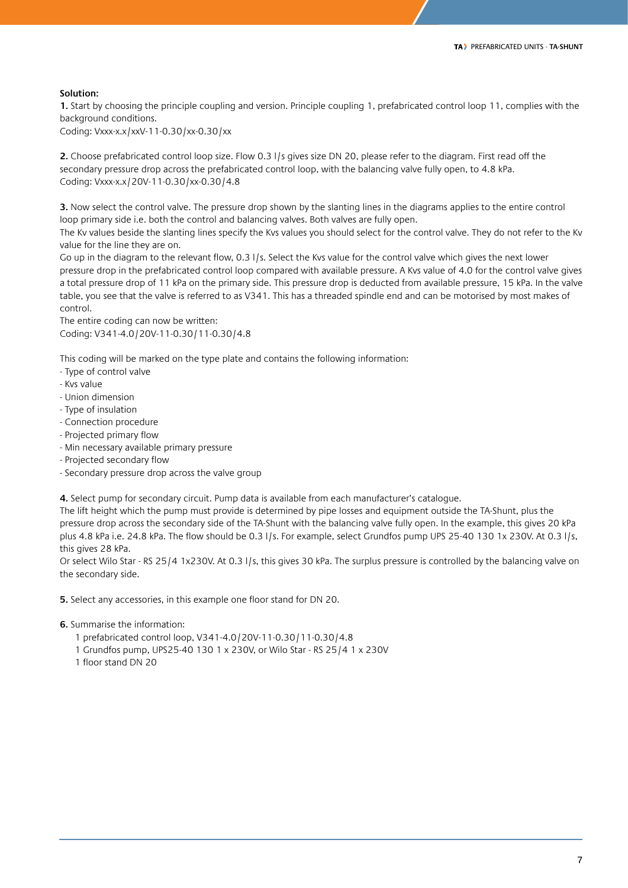#### **Solution:**

**1.** Start by choosing the principle coupling and version. Principle coupling 1, prefabricated control loop 11, complies with the background conditions.

Coding: Vxxx-x.x/xxV-11-0.30/xx-0.30/xx

**2.** Choose prefabricated control loop size. Flow 0.3 l/s gives size DN 20, please refer to the diagram. First read off the secondary pressure drop across the prefabricated control loop, with the balancing valve fully open, to 4.8 kPa. Coding: Vxxx-x.x/20V-11-0.30/xx-0.30/4.8

**3.** Now select the control valve. The pressure drop shown by the slanting lines in the diagrams applies to the entire control loop primary side i.e. both the control and balancing valves. Both valves are fully open.

The Kv values beside the slanting lines specify the Kvs values you should select for the control valve. They do not refer to the Kv value for the line they are on.

Go up in the diagram to the relevant flow, 0.3 l/s. Select the Kvs value for the control valve which gives the next lower pressure drop in the prefabricated control loop compared with available pressure. A Kvs value of 4.0 for the control valve gives a total pressure drop of 11 kPa on the primary side. This pressure drop is deducted from available pressure, 15 kPa. In the valve table, you see that the valve is referred to as V341. This has a threaded spindle end and can be motorised by most makes of control.

The entire coding can now be written: Coding: V341-4.0/20V-11-0.30/11-0.30/4.8

This coding will be marked on the type plate and contains the following information:

- Type of control valve
- Kvs value
- Union dimension
- Type of insulation
- Connection procedure
- Projected primary flow
- Min necessary available primary pressure
- Projected secondary flow
- Secondary pressure drop across the valve group

**4.** Select pump for secondary circuit. Pump data is available from each manufacturer's catalogue.

The lift height which the pump must provide is determined by pipe losses and equipment outside the TA-Shunt, plus the pressure drop across the secondary side of the TA-Shunt with the balancing valve fully open. In the example, this gives 20 kPa plus 4.8 kPa i.e. 24.8 kPa. The flow should be 0.3 l/s. For example, select Grundfos pump UPS 25-40 130 1x 230V. At 0.3 l/s, this gives 28 kPa.

Or select Wilo Star - RS 25/4 1x230V. At 0.3 l/s, this gives 30 kPa. The surplus pressure is controlled by the balancing valve on the secondary side.

**5.** Select any accessories, in this example one floor stand for DN 20.

**6.** Summarise the information:

- 1 prefabricated control loop, V341-4.0/20V-11-0.30/11-0.30/4.8
- 1 Grundfos pump, UPS25-40 130 1 x 230V, or Wilo Star RS 25/4 1 x 230V
- 1 floor stand DN 20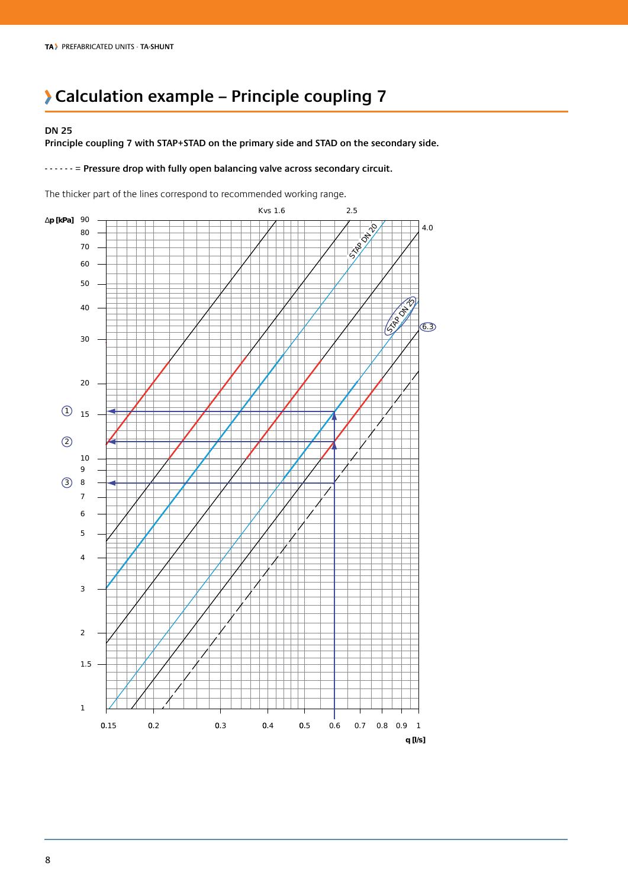### **Calculation example – Principle coupling 7**

#### **DN 25**

**Principle coupling 7 with STAP+STAD on the primary side and STAD on the secondary side.**

#### **- - - - - -** = **Pressure drop with fully open balancing valve across secondary circuit.**

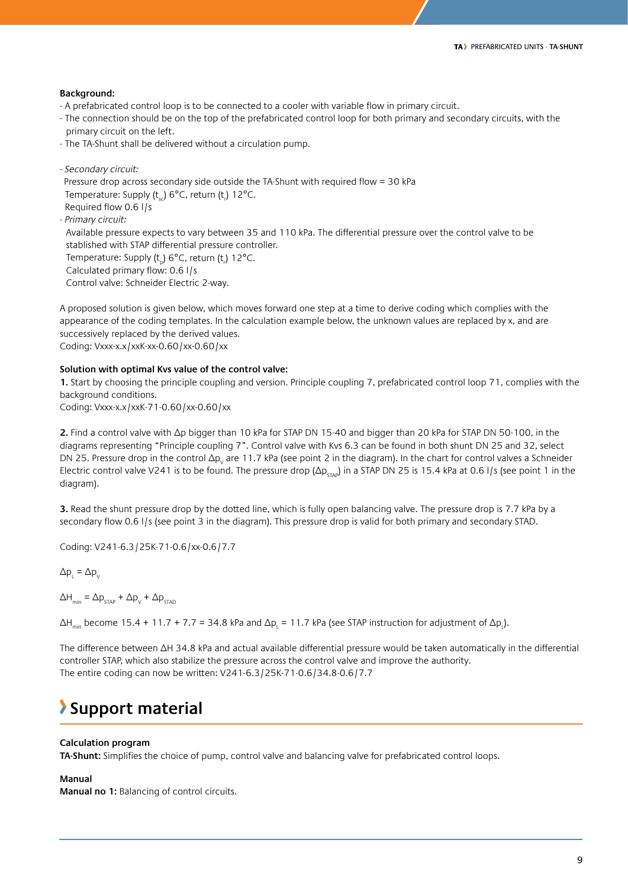#### **Background:**

- A prefabricated control loop is to be connected to a cooler with variable flow in primary circuit.
- The connection should be on the top of the prefabricated control loop for both primary and secondary circuits, with the primary circuit on the left.
- The TA-Shunt shall be delivered without a circulation pump.
- *Secondary circuit:* Pressure drop across secondary side outside the TA-Shunt with required flow = 30 kPa Temperature: Supply ( $t_{sc}$ ) 6°C, return ( $t_{r}$ ) 12°C. Required flow 0.6 l/s *- Primary circuit:*

 Available pressure expects to vary between 35 and 110 kPa. The differential pressure over the control valve to be stablished with STAP differential pressure controller.

Temperature: Supply ( $t_{p}$ ) 6°C, return ( $t_{n}$ ) 12°C. Calculated primary flow: 0.6 l/s

Control valve: Schneider Electric 2-way.

A proposed solution is given below, which moves forward one step at a time to derive coding which complies with the appearance of the coding templates. In the calculation example below, the unknown values are replaced by x, and are successively replaced by the derived values. Coding: Vxxx-x.x/xxK-xx-0.60/xx-0.60/xx

#### **Solution with optimal Kvs value of the control valve:**

**1.** Start by choosing the principle coupling and version. Principle coupling 7, prefabricated control loop 71, complies with the background conditions.

Coding: Vxxx-x.x/xxK-71-0.60/xx-0.60/xx

**2.** Find a control valve with Δp bigger than 10 kPa for STAP DN 15-40 and bigger than 20 kPa for STAP DN 50-100, in the diagrams representing "Principle coupling 7". Control valve with Kvs 6.3 can be found in both shunt DN 25 and 32, select DN 25. Pressure drop in the control Δp<sub>v</sub> are 11.7 kPa (see point 2 in the diagram). In the chart for control valves a Schneider Electric control valve V241 is to be found. The pressure drop ( $\Delta p_{STAP}$ ) in a STAP DN 25 is 15.4 kPa at 0.6 l/s (see point 1 in the diagram).

**3.** Read the shunt pressure drop by the dotted line, which is fully open balancing valve. The pressure drop is 7.7 kPa by a secondary flow 0.6 l/s (see point 3 in the diagram). This pressure drop is valid for both primary and secondary STAD.

Coding: V241-6.3/25K-71-0.6/xx-0.6/7.7

 $\Delta p_{L} = \Delta p_{V}$ 

 $\Delta H_{\text{min}} = \Delta p_{\text{STAP}} + \Delta p_{\text{V}} + \Delta p_{\text{STAD}}$ 

ΔH<sub>min</sub> become 15.4 + 11.7 + 7.7 = 34.8 kPa and Δp<sub>L</sub> = 11.7 kPa (see STAP instruction for adjustment of Δp<sub>L</sub>).

The difference between ΔH 34.8 kPa and actual available differential pressure would be taken automatically in the differential controller STAP, which also stabilize the pressure across the control valve and improve the authority. The entire coding can now be written: V241-6.3/25K-71-0.6/34.8-0.6/7.7

### **Support material**

#### **Calculation program**

**TA-Shunt:** Simplifies the choice of pump, control valve and balancing valve for prefabricated control loops.

#### **Manual**

**Manual no 1:** Balancing of control circuits.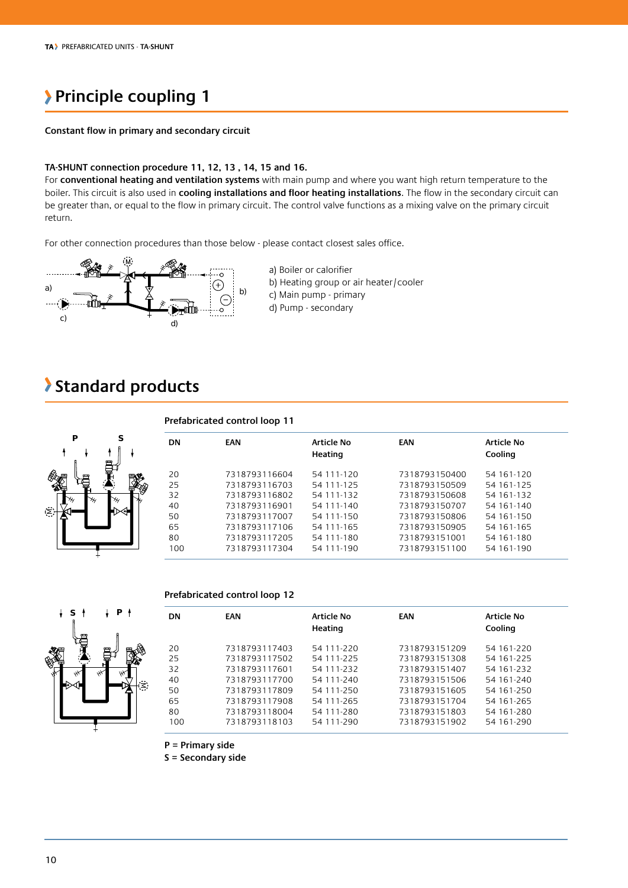### **Principle coupling 1**

#### **Constant flow in primary and secondary circuit**

#### **TA-SHUNT connection procedure 11, 12, 13 , 14, 15 and 16.**

For **conventional heating and ventilation systems** with main pump and where you want high return temperature to the boiler. This circuit is also used in **cooling installations and floor heating installations**. The flow in the secondary circuit can be greater than, or equal to the flow in primary circuit. The control valve functions as a mixing valve on the primary circuit return.

For other connection procedures than those below - please contact closest sales office.



a) Boiler or calorifier b) Heating group or air heater/cooler c) Main pump - primary d) Pump - secondary

### **Standard products**



#### **Prefabricated control loop 12**



| DN  | <b>EAN</b>    | <b>Article No</b><br>Heating | <b>EAN</b>    | <b>Article No</b><br>Cooling |
|-----|---------------|------------------------------|---------------|------------------------------|
| 20  | 7318793117403 | 54 111-220                   | 7318793151209 | 54 161-220                   |
| 25  | 7318793117502 | 54 111-225                   | 7318793151308 | 54 161-225                   |
| 32  | 7318793117601 | 54 111-232                   | 7318793151407 | 54 161-232                   |
| 40  | 7318793117700 | 54 111-240                   | 7318793151506 | 54 161-240                   |
| 50  | 7318793117809 | 54 111-250                   | 7318793151605 | 54 161-250                   |
| 65  | 7318793117908 | 54 111-265                   | 7318793151704 | 54 161-265                   |
| 80  | 7318793118004 | 54 111-280                   | 7318793151803 | 54 161-280                   |
| 100 | 7318793118103 | 54 111-290                   | 7318793151902 | 54 161-290                   |

**P = Primary side**

**S = Secondary side**

⋝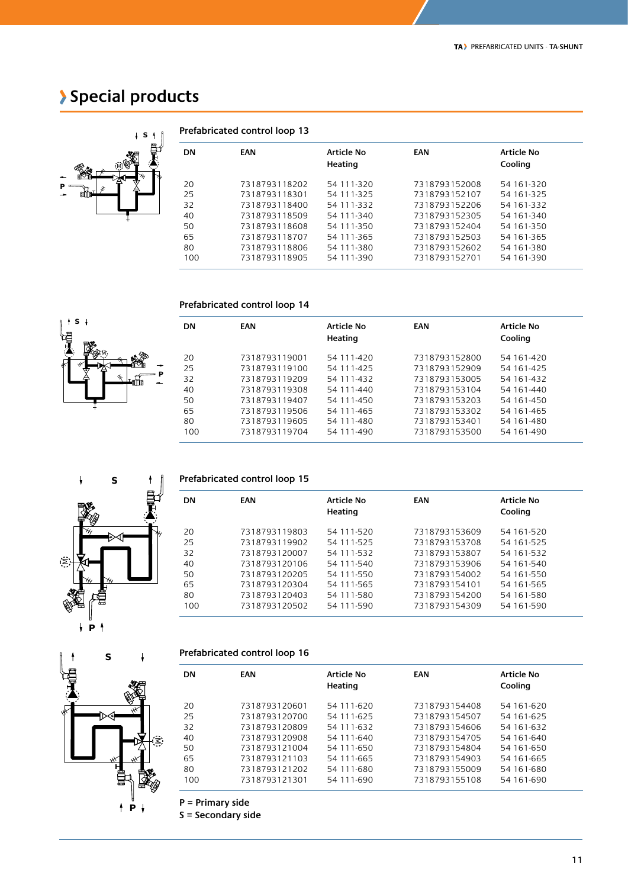### **Special products**

**P**



**S**

 $\ddot{\phantom{1}}$ 

M

|     | Prefabricated control loop 13 |                       |               |                       |  |  |  |  |  |
|-----|-------------------------------|-----------------------|---------------|-----------------------|--|--|--|--|--|
| DN  | <b>EAN</b>                    | Article No<br>Heating | EAN           | Article No<br>Cooling |  |  |  |  |  |
| 20  | 7318793118202                 | 54 111-320            | 7318793152008 | 54 161-320            |  |  |  |  |  |
| 25  | 7318793118301                 | 54 111-325            | 7318793152107 | 54 161-325            |  |  |  |  |  |
| 32  | 7318793118400                 | 54 111-332            | 7318793152206 | 54 161-332            |  |  |  |  |  |
| 40  | 7318793118509                 | 54 111-340            | 7318793152305 | 54 161-340            |  |  |  |  |  |
| 50  | 7318793118608                 | 54 111-350            | 7318793152404 | 54 161-350            |  |  |  |  |  |
| 65  | 7318793118707                 | 54 111-365            | 7318793152503 | 54 161-365            |  |  |  |  |  |
| 80  | 7318793118806                 | 54 111-380            | 7318793152602 | 54 161-380            |  |  |  |  |  |
| 100 | 7318793118905                 | 54 111-390            | 7318793152701 | 54 161-390            |  |  |  |  |  |

#### **Prefabricated control loop 14**

| <b>DN</b> | <b>EAN</b>    | <b>Article No</b><br>Heating | EAN           | Article No<br>Cooling |
|-----------|---------------|------------------------------|---------------|-----------------------|
| 20        | 7318793119001 | 54 111-420                   | 7318793152800 | 54 161-420            |
| 25        | 7318793119100 | 54 111-425                   | 7318793152909 | 54 161-425            |
| 32        | 7318793119209 | 54 111-432                   | 7318793153005 | 54 161-432            |
| 40        | 7318793119308 | 54 111-440                   | 7318793153104 | 54 161-440            |
| 50        | 7318793119407 | 54 111-450                   | 7318793153203 | 54 161-450            |
| 65        | 7318793119506 | 54 111-465                   | 7318793153302 | 54 161-465            |
| 80        | 7318793119605 | 54 111-480                   | 7318793153401 | 54 161-480            |
| 100       | 7318793119704 | 54 111-490                   | 7318793153500 | 54 161-490            |



#### **Prefabricated control loop 15**

| <b>DN</b> | <b>EAN</b>    | <b>Article No</b><br>Heating | EAN           | <b>Article No</b><br>Cooling |
|-----------|---------------|------------------------------|---------------|------------------------------|
| 20        | 7318793119803 | 54 111-520                   | 7318793153609 | 54 161-520                   |
| 25        | 7318793119902 | 54 111-525                   | 7318793153708 | 54 161-525                   |
| 32        | 7318793120007 | 54 111-532                   | 7318793153807 | 54 161-532                   |
| 40        | 7318793120106 | 54 111-540                   | 7318793153906 | 54 161-540                   |
| 50        | 7318793120205 | 54 111-550                   | 7318793154002 | 54 161-550                   |
| 65        | 7318793120304 | 54 111-565                   | 7318793154101 | 54 161-565                   |
| 80        | 7318793120403 | 54 111-580                   | 7318793154200 | 54 161-580                   |
| 100       | 7318793120502 | 54 111-590                   | 7318793154309 | 54 161-590                   |

# **P S** z

| Prefabricated control loop 16 |  |  |
|-------------------------------|--|--|
|-------------------------------|--|--|

| <b>DN</b> | <b>EAN</b>    | <b>Article No</b><br>Heating | EAN           | <b>Article No</b><br>Cooling |
|-----------|---------------|------------------------------|---------------|------------------------------|
| 20        | 7318793120601 | 54 111-620                   | 7318793154408 | 54 161-620                   |
| 25        | 7318793120700 | 54 111-625                   | 7318793154507 | 54 161-625                   |
| 32        | 7318793120809 | 54 111-632                   | 7318793154606 | 54 161-632                   |
| 40        | 7318793120908 | 54 111-640                   | 7318793154705 | 54 161-640                   |
| 50        | 7318793121004 | 54 111-650                   | 7318793154804 | 54 161-650                   |
| 65        | 7318793121103 | 54 111-665                   | 7318793154903 | 54 161-665                   |
| 80        | 7318793121202 | 54 111-680                   | 7318793155009 | 54 161-680                   |
| 100       | 7318793121301 | 54 111-690                   | 7318793155108 | 54 161-690                   |
|           |               |                              |               |                              |

**P = Primary side**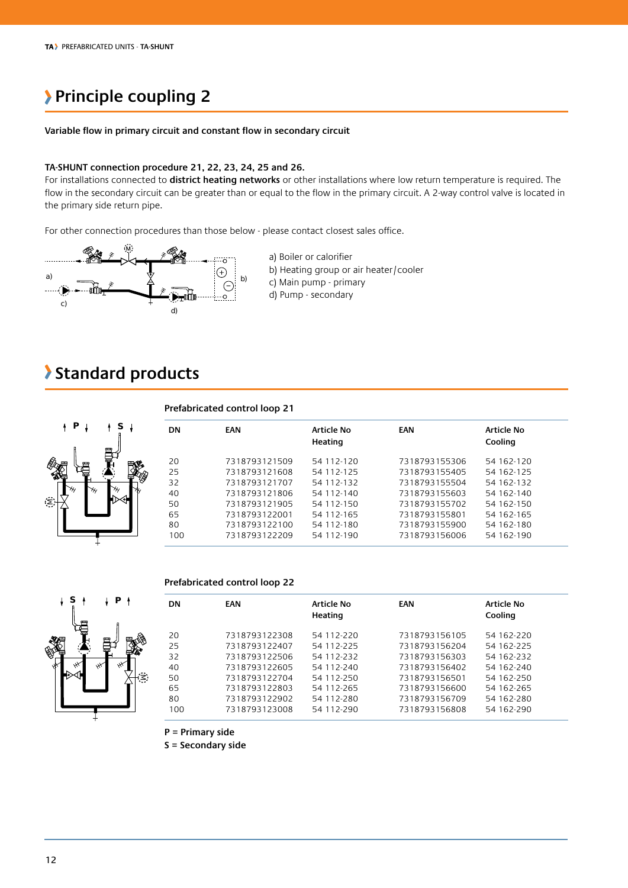### **Principle coupling 2**

#### **Variable flow in primary circuit and constant flow in secondary circuit**

#### **TA-SHUNT connection procedure 21, 22, 23, 24, 25 and 26.**

For installations connected to **district heating networks** or other installations where low return temperature is required. The flow in the secondary circuit can be greater than or equal to the flow in the primary circuit. A 2-way control valve is located in the primary side return pipe.

For other connection procedures than those below - please contact closest sales office.



a) Boiler or calorifier b) Heating group or air heater/cooler c) Main pump - primary d) Pump - secondary

### **Standard products**



#### **Prefabricated control loop 22**



| DN  | EAN           | <b>Article No</b><br>Heating | EAN           | Article No<br>Cooling |
|-----|---------------|------------------------------|---------------|-----------------------|
| 20  | 7318793122308 | 54 112-220                   | 7318793156105 | 54 162-220            |
| 25  | 7318793122407 | 54 112-225                   | 7318793156204 | 54 162-225            |
| 32  | 7318793122506 | 54 112-232                   | 7318793156303 | 54 162-232            |
| 40  | 7318793122605 | 54 112-240                   | 7318793156402 | 54 162-240            |
| 50  | 7318793122704 | 54 112-250                   | 7318793156501 | 54 162-250            |
| 65  | 7318793122803 | 54 112-265                   | 7318793156600 | 54 162-265            |
| 80  | 7318793122902 | 54 112-280                   | 7318793156709 | 54 162-280            |
| 100 | 7318793123008 | 54 112-290                   | 7318793156808 | 54 162-290            |

**P = Primary side**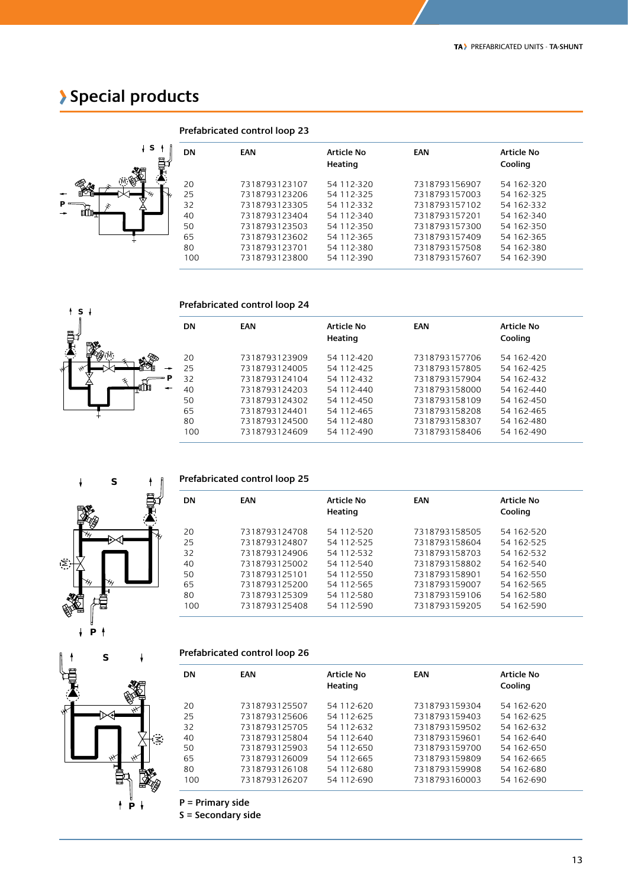### **Special products**



**S**

M

|   |           | Prefabricated control loop 23 |                              |               |                       |
|---|-----------|-------------------------------|------------------------------|---------------|-----------------------|
| ĺ | <b>DN</b> | <b>EAN</b>                    | <b>Article No</b><br>Heating | EAN           | Article No<br>Cooling |
|   | 20        | 7318793123107                 | 54 112-320                   | 7318793156907 | 54 162-320            |
|   | 25        | 7318793123206                 | 54 112-325                   | 7318793157003 | 54 162-325            |
|   | 32        | 7318793123305                 | 54 112-332                   | 7318793157102 | 54 162-332            |
|   | 40        | 7318793123404                 | 54 112-340                   | 7318793157201 | 54 162-340            |
|   | 50        | 7318793123503                 | 54 112-350                   | 7318793157300 | 54 162-350            |
|   | 65        | 7318793123602                 | 54 112-365                   | 7318793157409 | 54 162-365            |
|   | 80        | 7318793123701                 | 54 112-380                   | 7318793157508 | 54 162-380            |
|   | 100       | 7318793123800                 | 54 112-390                   | 7318793157607 | 54 162-390            |

#### **Prefabricated control loop 24**

|     | <b>DN</b> | <b>EAN</b>    | Article No<br>Heating | <b>EAN</b>    | Article No<br>Cooling |
|-----|-----------|---------------|-----------------------|---------------|-----------------------|
|     | 20        | 7318793123909 | 54 112-420            | 7318793157706 | 54 162-420            |
|     | 25        | 7318793124005 | 54 112-425            | 7318793157805 | 54 162-425            |
| ⇒ P | 32        | 7318793124104 | 54 112-432            | 7318793157904 | 54 162-432            |
|     | 40        | 7318793124203 | 54 112-440            | 7318793158000 | 54 162-440            |
|     | 50        | 7318793124302 | 54 112-450            | 7318793158109 | 54 162-450            |
|     | 65        | 7318793124401 | 54 112-465            | 7318793158208 | 54 162-465            |
|     | 80        | 7318793124500 | 54 112-480            | 7318793158307 | 54 162-480            |
|     | 100       | 7318793124609 | 54 112-490            | 7318793158406 | 54 162-490            |
|     |           |               |                       |               |                       |



#### **Prefabricated control loop 25**

| <b>DN</b> | <b>EAN</b>    | Article No | <b>EAN</b>    | Article No |  |
|-----------|---------------|------------|---------------|------------|--|
|           |               | Heating    |               | Cooling    |  |
| 20        | 7318793124708 | 54 112-520 | 7318793158505 | 54 162-520 |  |
| 25        | 7318793124807 | 54 112-525 | 7318793158604 | 54 162-525 |  |
| 32        | 7318793124906 | 54 112-532 | 7318793158703 | 54 162-532 |  |
| 40        | 7318793125002 | 54 112-540 | 7318793158802 | 54 162-540 |  |
| 50        | 7318793125101 | 54 112-550 | 7318793158901 | 54 162-550 |  |
| 65        | 7318793125200 | 54 112-565 | 7318793159007 | 54 162-565 |  |
| 80        | 7318793125309 | 54 112-580 | 7318793159106 | 54 162-580 |  |
| 100       | 7318793125408 | 54 112-590 | 7318793159205 | 54 162-590 |  |
|           |               |            |               |            |  |

## **P S** M

**P**

#### **Prefabricated control loop 26**

| DN                                     | <b>EAN</b>                                                                                                          | <b>Article No</b><br>Heating                                                                   | EAN                                                                                                                 | <b>Article No</b><br>Cooling                                                                   |
|----------------------------------------|---------------------------------------------------------------------------------------------------------------------|------------------------------------------------------------------------------------------------|---------------------------------------------------------------------------------------------------------------------|------------------------------------------------------------------------------------------------|
| 20<br>25<br>32<br>40<br>50<br>65<br>80 | 7318793125507<br>7318793125606<br>7318793125705<br>7318793125804<br>7318793125903<br>7318793126009<br>7318793126108 | 54 112-620<br>54 112-625<br>54 112-632<br>54 112-640<br>54 112-650<br>54 112-665<br>54 112-680 | 7318793159304<br>7318793159403<br>7318793159502<br>7318793159601<br>7318793159700<br>7318793159809<br>7318793159908 | 54 162-620<br>54 162-625<br>54 162-632<br>54 162-640<br>54 162-650<br>54 162-665<br>54 162-680 |
| 100                                    | 7318793126207                                                                                                       | 54 112-690                                                                                     | 7318793160003                                                                                                       | 54 162-690                                                                                     |

**P = Primary side**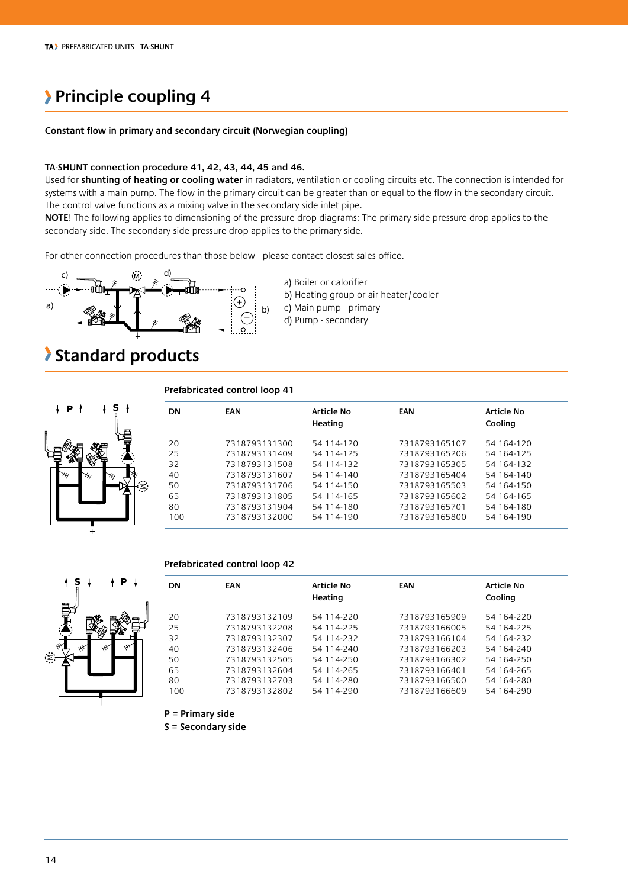### **Principle coupling 4**

#### **Constant flow in primary and secondary circuit (Norwegian coupling)**

#### **TA-SHUNT connection procedure 41, 42, 43, 44, 45 and 46.**

Used for **shunting of heating or cooling water** in radiators, ventilation or cooling circuits etc. The connection is intended for systems with a main pump. The flow in the primary circuit can be greater than or equal to the flow in the secondary circuit. The control valve functions as a mixing valve in the secondary side inlet pipe.

**NOTE**! The following applies to dimensioning of the pressure drop diagrams: The primary side pressure drop applies to the secondary side. The secondary side pressure drop applies to the primary side.

For other connection procedures than those below - please contact closest sales office.



- a) Boiler or calorifier
- b) Heating group or air heater/cooler
- c) Main pump primary
- d) Pump secondary

### **Standard products**



#### **Prefabricated control loop 41**

|    | <b>DN</b> | EAN           | Article No<br>Heating | <b>EAN</b>    | Article No<br>Cooling |
|----|-----------|---------------|-----------------------|---------------|-----------------------|
|    | 20        | 7318793131300 | 54 114-120            | 7318793165107 | 54 164-120            |
|    | 25        | 7318793131409 | 54 114-125            | 7318793165206 | 54 164-125            |
|    | 32        | 7318793131508 | 54 114-132            | 7318793165305 | 54 164-132            |
|    | 40        | 7318793131607 | 54 114-140            | 7318793165404 | 54 164-140            |
| Ċ. | 50        | 7318793131706 | 54 114-150            | 7318793165503 | 54 164-150            |
|    | 65        | 7318793131805 | 54 114-165            | 7318793165602 | 54 164-165            |
|    | 80        | 7318793131904 | 54 114-180            | 7318793165701 | 54 164-180            |
|    | 100       | 7318793132000 | 54 114-190            | 7318793165800 | 54 164-190            |
|    |           |               |                       |               |                       |

#### **Prefabricated control loop 42**



| DN  | <b>EAN</b>    | Article No<br>Heating | <b>EAN</b>    | Article No<br>Cooling |
|-----|---------------|-----------------------|---------------|-----------------------|
| 20  | 7318793132109 | 54 114-220            | 7318793165909 | 54 164-220            |
| 25  | 7318793132208 | 54 114-225            | 7318793166005 | 54 164-225            |
| 32  | 7318793132307 | 54 114-232            | 7318793166104 | 54 164-232            |
| 40  | 7318793132406 | 54 114-240            | 7318793166203 | 54 164-240            |
| 50  | 7318793132505 | 54 114-250            | 7318793166302 | 54 164-250            |
| 65  | 7318793132604 | 54 114-265            | 7318793166401 | 54 164-265            |
| 80  | 7318793132703 | 54 114-280            | 7318793166500 | 54 164-280            |
| 100 | 7318793132802 | 54 114-290            | 7318793166609 | 54 164-290            |
|     |               |                       |               |                       |

**P = Primary side**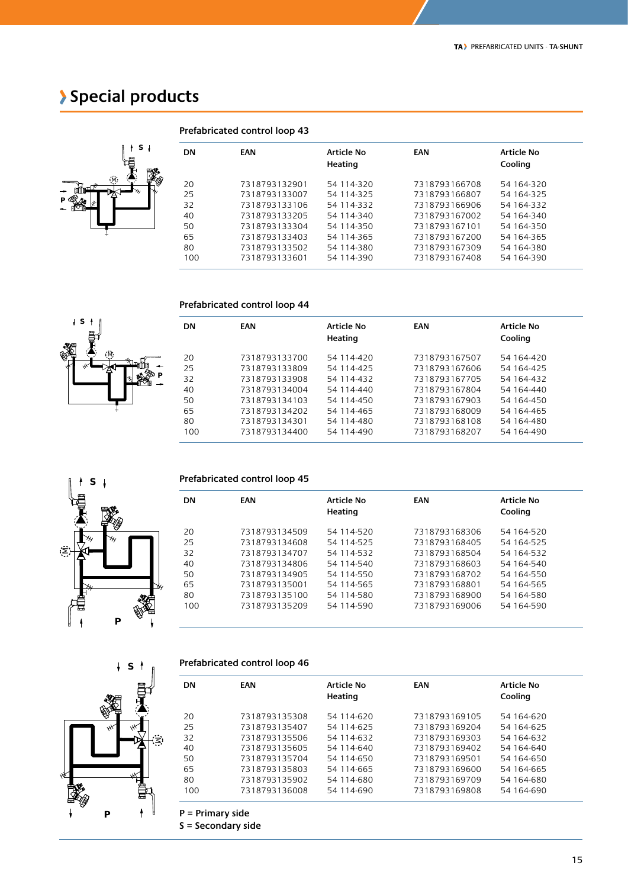### **Special products**



M

**S**

-4  $\downarrow$ 

**P**

| <b>DN</b> | <b>EAN</b>    | Article No<br>Heating | <b>EAN</b>    | Article No<br>Cooling |
|-----------|---------------|-----------------------|---------------|-----------------------|
| 20        | 7318793132901 | 54 114-320            | 7318793166708 | 54 164-320            |
| 25        | 7318793133007 | 54 114-325            | 7318793166807 | 54 164-325            |
| 32        | 7318793133106 | 54 114-332            | 7318793166906 | 54 164-332            |
| 40        | 7318793133205 | 54 114-340            | 7318793167002 | 54 164-340            |
| 50        | 7318793133304 | 54 114-350            | 7318793167101 | 54 164-350            |
| 65        | 7318793133403 | 54 114-365            | 7318793167200 | 54 164-365            |
| 80        | 7318793133502 | 54 114-380            | 7318793167309 | 54 164-380            |
| 100       | 7318793133601 | 54 114-390            | 7318793167408 | 54 164-390            |
|           |               |                       |               |                       |

#### **Prefabricated control loop 43**

#### **Prefabricated control loop 44**

| <b>DN</b> | <b>EAN</b>    | Article No<br>Heating | EAN           | Article No<br>Cooling |
|-----------|---------------|-----------------------|---------------|-----------------------|
| 20        | 7318793133700 | 54 114-420            | 7318793167507 | 54 164-420            |
| 25        | 7318793133809 | 54 114-425            | 7318793167606 | 54 164-425            |
| 32        | 7318793133908 | 54 114-432            | 7318793167705 | 54 164-432            |
| 40        | 7318793134004 | 54 114-440            | 7318793167804 | 54 164-440            |
| 50        | 7318793134103 | 54 114-450            | 7318793167903 | 54 164-450            |
| 65        | 7318793134202 | 54 114-465            | 7318793168009 | 54 164-465            |
| 80        | 7318793134301 | 54 114-480            | 7318793168108 | 54 164-480            |
| 100       | 7318793134400 | 54 114-490            | 7318793168207 | 54 164-490            |



#### **Prefabricated control loop 45**

| <b>EAN</b>    | Article No<br>Heating | EAN           | Article No<br>Cooling |
|---------------|-----------------------|---------------|-----------------------|
| 7318793134509 | 54 114-520            | 7318793168306 | 54 164-520            |
| 7318793134608 | 54 114-525            | 7318793168405 | 54 164-525            |
| 7318793134707 | 54 114-532            | 7318793168504 | 54 164-532            |
| 7318793134806 | 54 114-540            | 7318793168603 | 54 164-540            |
| 7318793134905 | 54 114-550            | 7318793168702 | 54 164-550            |
| 7318793135001 | 54 114-565            | 7318793168801 | 54 164-565            |
| 7318793135100 | 54 114-580            | 7318793168900 | 54 164-580            |
| 7318793135209 | 54 114-590            | 7318793169006 | 54 164-590            |
|               |                       |               |                       |
|               |                       |               |                       |

## **P S** M

#### **Prefabricated control loop 46**

| <b>DN</b> | <b>EAN</b>    | <b>Article No</b><br>Heating | <b>EAN</b>    | <b>Article No</b><br>Cooling |
|-----------|---------------|------------------------------|---------------|------------------------------|
| 20        | 7318793135308 | 54 114-620                   | 7318793169105 | 54 164-620                   |
| 25        | 7318793135407 | 54 114-625                   | 7318793169204 | 54 164-625                   |
| 32        | 7318793135506 | 54 114-632                   | 7318793169303 | 54 164-632                   |
| 40        | 7318793135605 | 54 114-640                   | 7318793169402 | 54 164-640                   |
| 50        | 7318793135704 | 54 114-650                   | 7318793169501 | 54 164-650                   |
| 65        | 7318793135803 | 54 114-665                   | 7318793169600 | 54 164-665                   |
| 80        | 7318793135902 | 54 114-680                   | 7318793169709 | 54 164-680                   |
| 100       | 7318793136008 | 54 114-690                   | 7318793169808 | 54 164-690                   |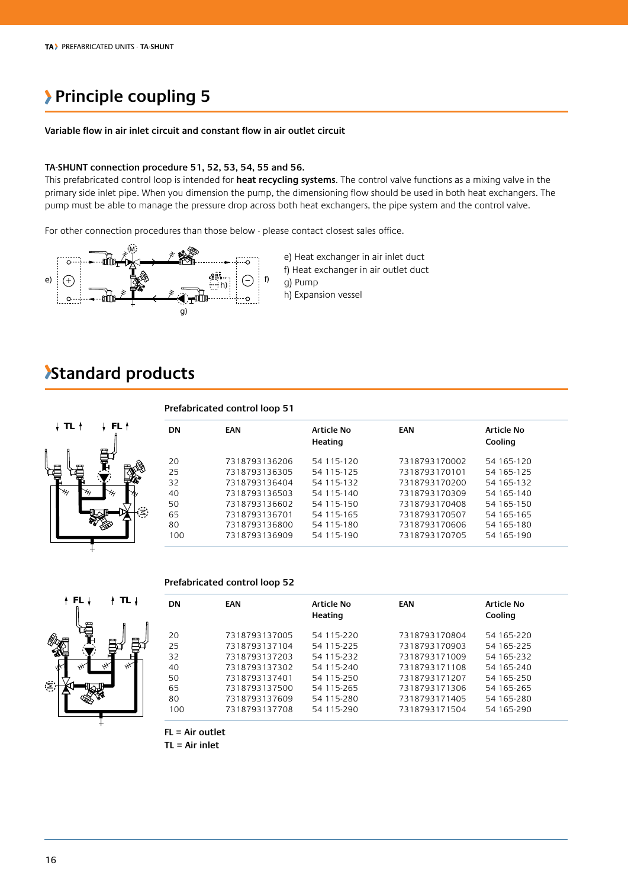### **Principle coupling 5**

#### **Variable flow in air inlet circuit and constant flow in air outlet circuit**

#### **TA-SHUNT connection procedure 51, 52, 53, 54, 55 and 56.**

This prefabricated control loop is intended for **heat recycling systems**. The control valve functions as a mixing valve in the primary side inlet pipe. When you dimension the pump, the dimensioning flow should be used in both heat exchangers. The pump must be able to manage the pressure drop across both heat exchangers, the pipe system and the control valve.

For other connection procedures than those below - please contact closest sales office.



e) Heat exchanger in air inlet duct f) Heat exchanger in air outlet duct

g) Pump h) Expansion vessel

### **Standard products**



#### **Prefabricated control loop 52**



| <b>DN</b> | EAN           | <b>Article No</b><br>Heating | EAN           | Article No<br>Cooling |
|-----------|---------------|------------------------------|---------------|-----------------------|
| 20        | 7318793137005 | 54 115-220                   | 7318793170804 | 54 165-220            |
| 25        | 7318793137104 | 54 115-225                   | 7318793170903 | 54 165-225            |
| 32        | 7318793137203 | 54 115-232                   | 7318793171009 | 54 165-232            |
| 40        | 7318793137302 | 54 115-240                   | 7318793171108 | 54 165-240            |
| 50        | 7318793137401 | 54 115-250                   | 7318793171207 | 54 165-250            |
| 65        | 7318793137500 | 54 115-265                   | 7318793171306 | 54 165-265            |
| 80        | 7318793137609 | 54 115-280                   | 7318793171405 | 54 165-280            |
| 100       | 7318793137708 | 54 115-290                   | 7318793171504 | 54 165-290            |

**FL = Air outlet**

**TL = Air inlet**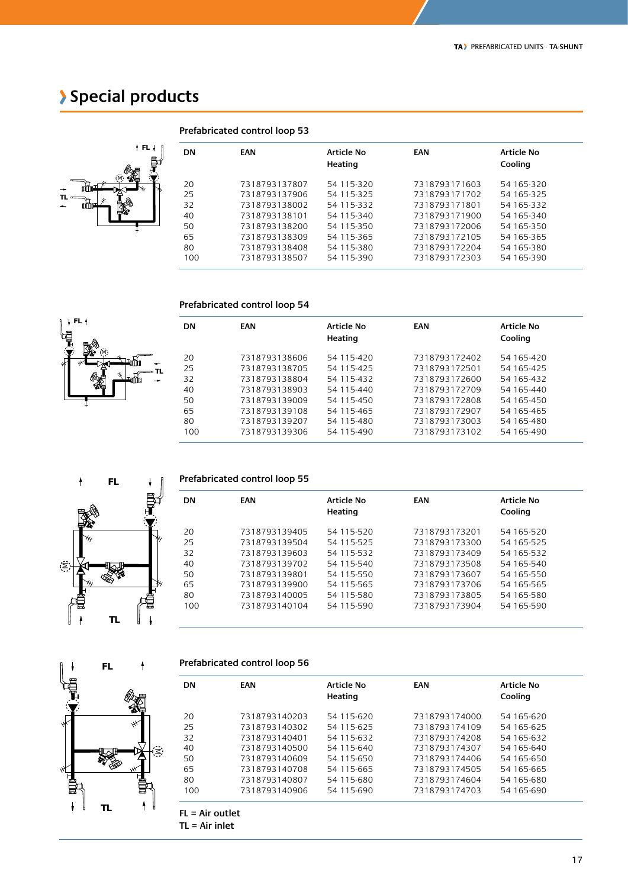### **Special products**



**FL**

M

|           | Prefabricated control loop 53 |                              |               |                              |
|-----------|-------------------------------|------------------------------|---------------|------------------------------|
| <b>DN</b> | <b>EAN</b>                    | <b>Article No</b><br>Heating | <b>EAN</b>    | <b>Article No</b><br>Cooling |
| 20        | 7318793137807                 | 54 115-320                   | 7318793171603 | 54 165-320                   |
| 25        | 7318793137906                 | 54 115-325                   | 7318793171702 | 54 165-325                   |
| 32        | 7318793138002                 | 54 115-332                   | 7318793171801 | 54 165-332                   |
| 40        | 7318793138101                 | 54 115-340                   | 7318793171900 | 54 165-340                   |
| 50        | 7318793138200                 | 54 115-350                   | 7318793172006 | 54 165-350                   |
| 65        | 7318793138309                 | 54 115-365                   | 7318793172105 | 54 165-365                   |
| 80        | 7318793138408                 | 54 115-380                   | 7318793172204 | 54 165-380                   |
| 100       | 7318793138507                 | 54 115-390                   | 7318793172303 | 54 165-390                   |

#### **Prefabricated control loop 54**

|    | <b>DN</b> | <b>EAN</b>    | <b>Article No</b><br>Heating | EAN           | <b>Article No</b><br>Cooling |
|----|-----------|---------------|------------------------------|---------------|------------------------------|
|    | 20        | 7318793138606 | 54 115-420                   | 7318793172402 | 54 165-420                   |
| TL | 25        | 7318793138705 | 54 115-425                   | 7318793172501 | 54 165-425                   |
| ÷  | 32        | 7318793138804 | 54 115-432                   | 7318793172600 | 54 165-432                   |
|    | 40        | 7318793138903 | 54 115-440                   | 7318793172709 | 54 165-440                   |
|    | 50        | 7318793139009 | 54 115-450                   | 7318793172808 | 54 165-450                   |
|    | 65        | 7318793139108 | 54 115-465                   | 7318793172907 | 54 165-465                   |
|    | 80        | 7318793139207 | 54 115-480                   | 7318793173003 | 54 165-480                   |
|    | 100       | 7318793139306 | 54 115-490                   | 7318793173102 | 54 165-490                   |
|    |           |               |                              |               |                              |



| Prefabricated control loop 55 |
|-------------------------------|
|-------------------------------|

| <b>DN</b> | <b>EAN</b>    | Article No<br>Heating | EAN           | Article No<br>Cooling |
|-----------|---------------|-----------------------|---------------|-----------------------|
| 20        | 7318793139405 | 54 115-520            | 7318793173201 | 54 165-520            |
| 25        | 7318793139504 | 54 115-525            | 7318793173300 | 54 165-525            |
| 32        | 7318793139603 | 54 115-532            | 7318793173409 | 54 165-532            |
| 40        | 7318793139702 | 54 115-540            | 7318793173508 | 54 165-540            |
| 50        | 7318793139801 | 54 115-550            | 7318793173607 | 54 165-550            |
| 65        | 7318793139900 | 54 115-565            | 7318793173706 | 54 165-565            |
| 80        | 7318793140005 | 54 115-580            | 7318793173805 | 54 165-580            |
| 100       | 7318793140104 | 54 115-590            | 7318793173904 | 54 165-590            |

|        | FL | T      |
|--------|----|--------|
|        |    |        |
|        |    |        |
|        |    |        |
|        |    |        |
|        |    |        |
| ę      |    |        |
| σ<br>D | TL | ı<br>D |
|        |    |        |

**Prefabricated control loop 56**

| <b>DN</b> | <b>EAN</b>    | <b>Article No</b><br>Heating | EAN           | <b>Article No</b><br>Cooling |
|-----------|---------------|------------------------------|---------------|------------------------------|
| 20        | 7318793140203 | 54 115-620                   | 7318793174000 | 54 165-620                   |
| 25        | 7318793140302 | 54 115-625                   | 7318793174109 | 54 165-625                   |
| 32        | 7318793140401 | 54 115-632                   | 7318793174208 | 54 165-632                   |
| 40        | 7318793140500 | 54 115-640                   | 7318793174307 | 54 165-640                   |
| 50        | 7318793140609 | 54 115-650                   | 7318793174406 | 54 165-650                   |
| 65        | 7318793140708 | 54 115-665                   | 7318793174505 | 54 165-665                   |
| 80        | 7318793140807 | 54 115-680                   | 7318793174604 | 54 165-680                   |
| 100       | 7318793140906 | 54 115-690                   | 7318793174703 | 54 165-690                   |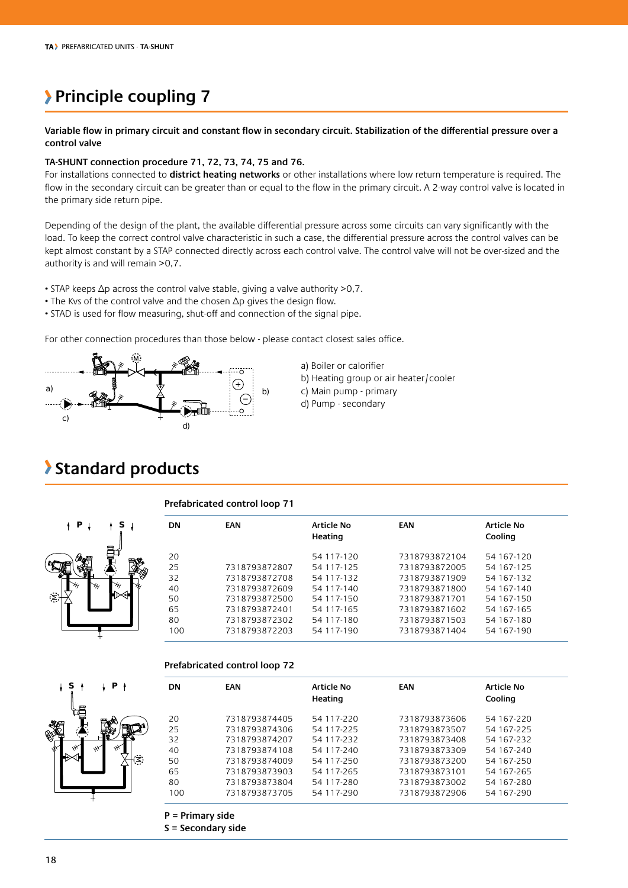### **Principle coupling 7**

**Variable flow in primary circuit and constant flow in secondary circuit. Stabilization of the differential pressure over a control valve**

#### **TA-SHUNT connection procedure 71, 72, 73, 74, 75 and 76.**

For installations connected to **district heating networks** or other installations where low return temperature is required. The flow in the secondary circuit can be greater than or equal to the flow in the primary circuit. A 2-way control valve is located in the primary side return pipe.

Depending of the design of the plant, the available differential pressure across some circuits can vary significantly with the load. To keep the correct control valve characteristic in such a case, the differential pressure across the control valves can be kept almost constant by a STAP connected directly across each control valve. The control valve will not be over-sized and the authority is and will remain >0,7.

• STAP keeps Δp across the control valve stable, giving a valve authority >0,7.

- The Kvs of the control valve and the chosen  $\Delta p$  gives the design flow.
- STAD is used for flow measuring, shut-off and connection of the signal pipe.

For other connection procedures than those below - please contact closest sales office.





### **Standard products**

#### **Prefabricated control loop 71**

| Р.   | s | <b>DN</b> | <b>EAN</b>    | <b>Article No</b><br>Heating | <b>EAN</b>    | <b>Article No</b><br>Cooling |  |
|------|---|-----------|---------------|------------------------------|---------------|------------------------------|--|
|      | ᇦ | 20        |               | 54 117-120                   | 7318793872104 | 54 167-120                   |  |
| a (1 |   | 25        | 7318793872807 | 54 117-125                   | 7318793872005 | 54 167-125                   |  |
|      |   | 32        | 7318793872708 | 54 117-132                   | 7318793871909 | 54 167-132                   |  |
|      |   | 40        | 7318793872609 | 54 117-140                   | 7318793871800 | 54 167-140                   |  |
|      |   | 50        | 7318793872500 | 54 117-150                   | 7318793871701 | 54 167-150                   |  |
|      |   | 65        | 7318793872401 | 54 117-165                   | 7318793871602 | 54 167-165                   |  |
|      |   | 80        | 7318793872302 | 54 117-180                   | 7318793871503 | 54 167-180                   |  |
|      |   | 100       | 7318793872203 | 54 117-190                   | 7318793871404 | 54 167-190                   |  |
|      |   |           |               |                              |               |                              |  |

#### **Prefabricated control loop 72**

| <b>DN</b> | <b>EAN</b>    | <b>Article No</b><br>Heating | <b>EAN</b>    | Article No<br>Cooling |
|-----------|---------------|------------------------------|---------------|-----------------------|
|           |               |                              |               |                       |
| 20        | 7318793874405 | 54 117-220                   | 7318793873606 | 54 167-220            |
| 25        | 7318793874306 | 54 117-225                   | 7318793873507 | 54 167-225            |
| 32        | 7318793874207 | 54 117-232                   | 7318793873408 | 54 167-232            |
| 40        | 7318793874108 | 54 117-240                   | 7318793873309 | 54 167-240            |
| 50        | 7318793874009 | 54 117-250                   | 7318793873200 | 54 167-250            |
| 65        | 7318793873903 | 54 117-265                   | 7318793873101 | 54 167-265            |
| 80        | 7318793873804 | 54 117-280                   | 7318793873002 | 54 167-280            |
| 100       | 7318793873705 | 54 117-290                   | 7318793872906 | 54 167-290            |

**S = Secondary side**

⋝

**S P**

M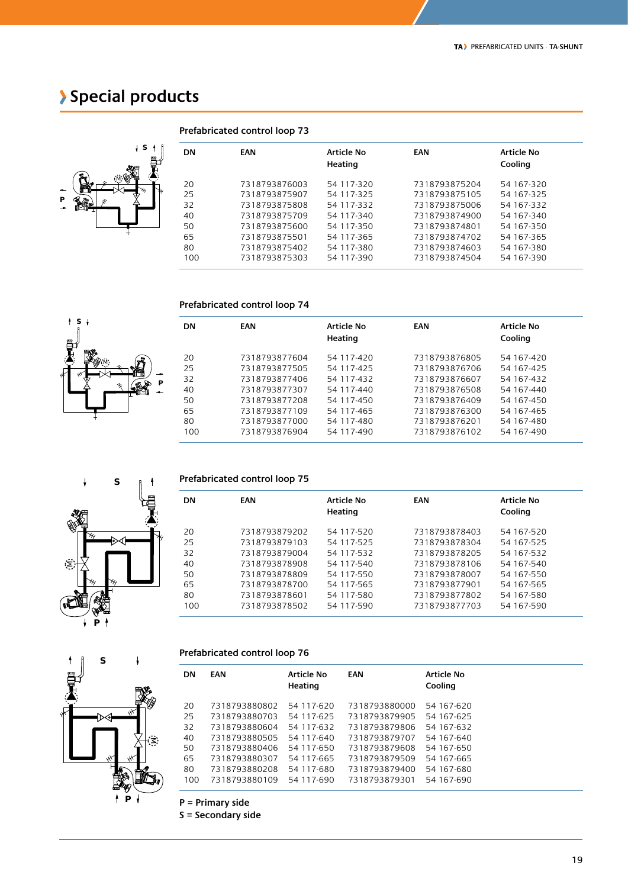### **Special products**



**S**

M

M

**S**

**P**

| <b>DN</b> | <b>EAN</b>    | Article No<br>Heating | EAN           | Article No<br>Cooling |  |
|-----------|---------------|-----------------------|---------------|-----------------------|--|
| 20        | 7318793876003 | 54 117-320            | 7318793875204 | 54 167-320            |  |
| 25        | 7318793875907 | 54 117-325            | 7318793875105 | 54 167-325            |  |
| 32        | 7318793875808 | 54 117-332            | 7318793875006 | 54 167-332            |  |
| 40        | 7318793875709 | 54 117-340            | 7318793874900 | 54 167-340            |  |
| 50        | 7318793875600 | 54 117-350            | 7318793874801 | 54 167-350            |  |
| 65        | 7318793875501 | 54 117-365            | 7318793874702 | 54 167-365            |  |
| 80        | 7318793875402 | 54 117-380            | 7318793874603 | 54 167-380            |  |
| 100       | 7318793875303 | 54 117-390            | 7318793874504 | 54 167-390            |  |
|           |               |                       |               |                       |  |

### **Prefabricated control loop 73**

#### **Prefabricated control loop 74**

| <b>DN</b> | <b>EAN</b>    | Article No<br>Heating | EAN           | Article No<br>Cooling |
|-----------|---------------|-----------------------|---------------|-----------------------|
| 20        | 7318793877604 | 54 117-420            | 7318793876805 | 54 167-420            |
| 25        | 7318793877505 | 54 117-425            | 7318793876706 | 54 167-425            |
| 32        | 7318793877406 | 54 117-432            | 7318793876607 | 54 167-432            |
| 40        | 7318793877307 | 54 117-440            | 7318793876508 | 54 167-440            |
| 50        | 7318793877208 | 54 117-450            | 7318793876409 | 54 167-450            |
| 65        | 7318793877109 | 54 117-465            | 7318793876300 | 54 167-465            |
| 80        | 7318793877000 | 54 117-480            | 7318793876201 | 54 167-480            |
| 100       | 7318793876904 | 54 117-490            | 7318793876102 | 54 167-490            |

#### **Prefabricated control loop 75**

| <b>DN</b> | <b>EAN</b>    | <b>Article No</b><br>Heating | EAN           | <b>Article No</b><br>Cooling |  |
|-----------|---------------|------------------------------|---------------|------------------------------|--|
| 20        | 7318793879202 | 54 117-520                   | 7318793878403 | 54 167-520                   |  |
| 25        | 7318793879103 | 54 117-525                   | 7318793878304 | 54 167-525                   |  |
| 32        | 7318793879004 | 54 117-532                   | 7318793878205 | 54 167-532                   |  |
| 40        | 7318793878908 | 54 117-540                   | 7318793878106 | 54 167-540                   |  |
| 50        | 7318793878809 | 54 117-550                   | 7318793878007 | 54 167-550                   |  |
| 65        | 7318793878700 | 54 117-565                   | 7318793877901 | 54 167-565                   |  |
| 80        | 7318793878601 | 54 117-580                   | 7318793877802 | 54 167-580                   |  |
| 100       | 7318793878502 | 54 117-590                   | 7318793877703 | 54 167-590                   |  |
|           |               |                              |               |                              |  |

#### **Prefabricated control loop 76**

| <b>DN</b> | <b>EAN</b>    | <b>Article No</b><br>Heating | EAN           | <b>Article No</b><br>Cooling |
|-----------|---------------|------------------------------|---------------|------------------------------|
| 20        | 7318793880802 | 54 117-620                   | 7318793880000 | 54 167-620                   |
| 25        | 7318793880703 | 54 117-625                   | 7318793879905 | 54 167-625                   |
| 32        | 7318793880604 | 54 117-632                   | 7318793879806 | 54 167-632                   |
| 40        | 7318793880505 | 54 117-640                   | 7318793879707 | 54 167-640                   |
| 50        | 7318793880406 | 54 117-650                   | 7318793879608 | 54 167-650                   |
| 65        | 7318793880307 | 54 117-665                   | 7318793879509 | 54 167-665                   |
| 80        | 7318793880208 | 54 117-680                   | 7318793879400 | 54 167-680                   |
| 100       | 7318793880109 | 54 117-690                   | 7318793879301 | 54 167-690                   |



**P**

**P = Primary side**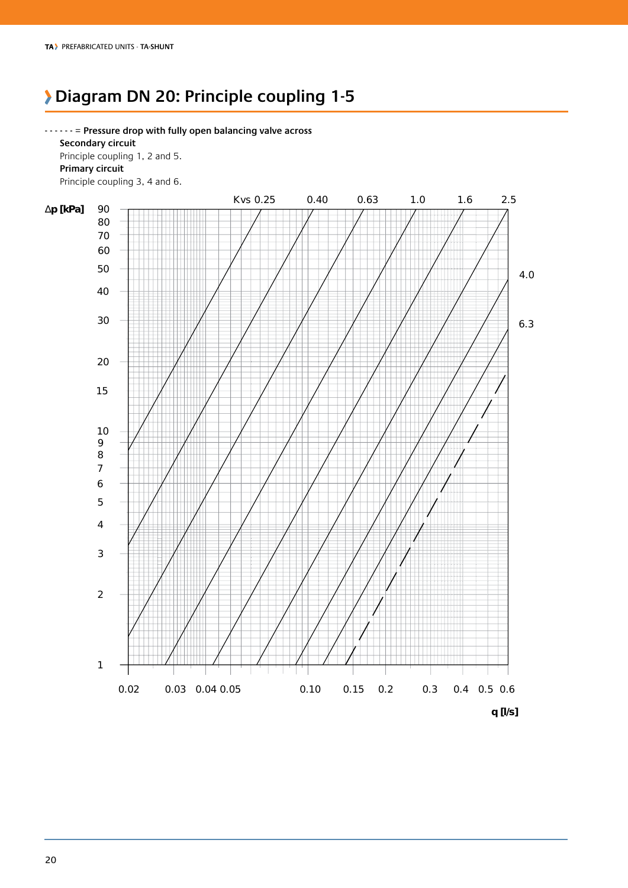### **Diagram DN 20: Principle coupling 1-5**

**- - - - - -** = **Pressure drop with fully open balancing valve across Secondary circuit** Principle coupling 1, 2 and 5.  **Primary circuit** Principle coupling 3, 4 and 6.

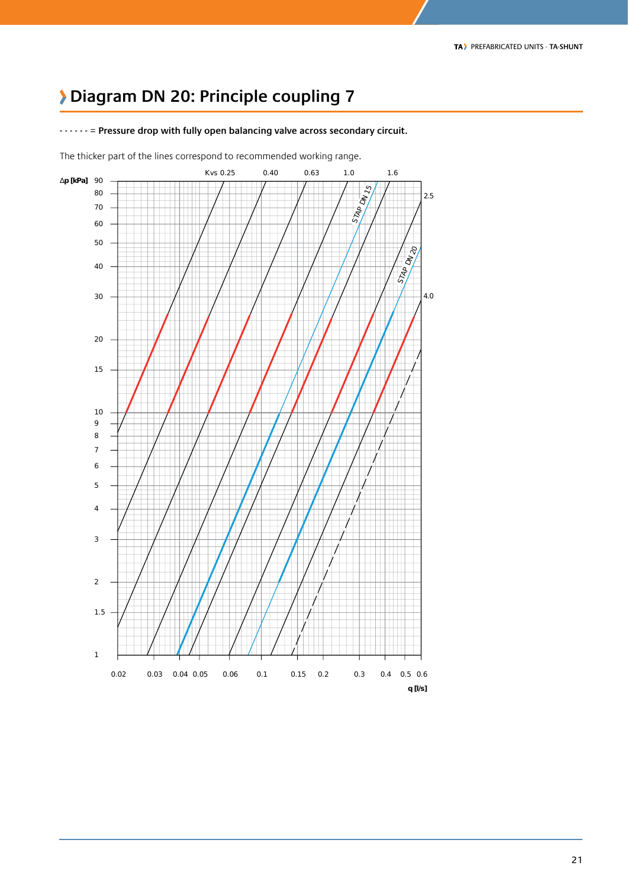### **Diagram DN 20: Principle coupling 7**



**- - - - - -** = **Pressure drop with fully open balancing valve across secondary circuit.**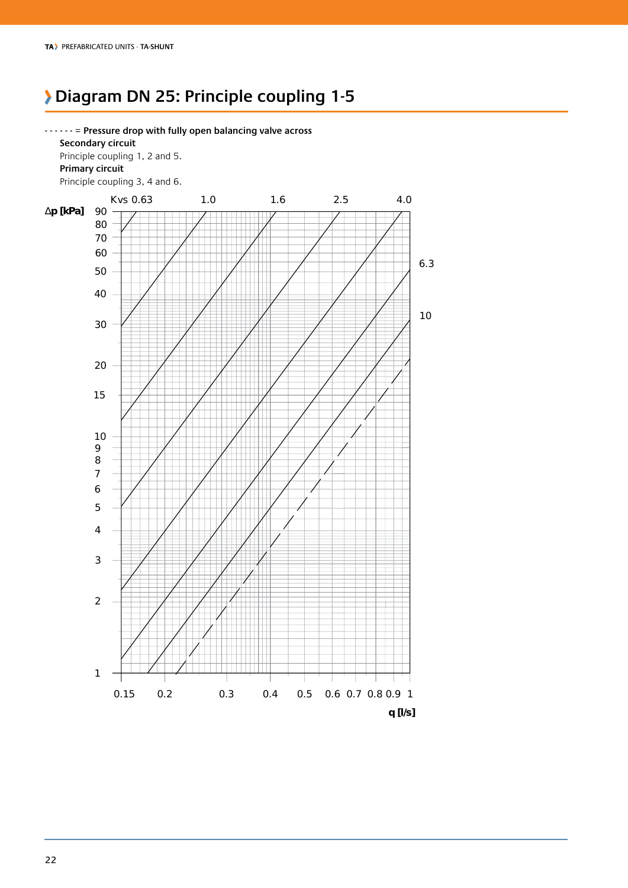### **Diagram DN 25: Principle coupling 1-5**

#### **- - - - - -** = **Pressure drop with fully open balancing valve across**

 **Secondary circuit** Principle coupling 1, 2 and 5.  **Primary circuit**

Principle coupling 3, 4 and 6.

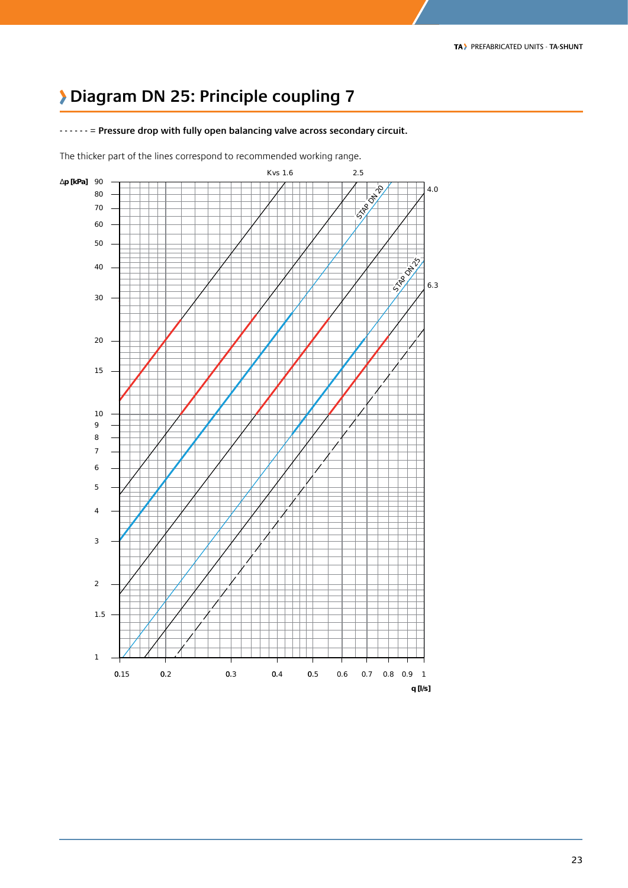### **Diagram DN 25: Principle coupling 7**

**- - - - - -** = **Pressure drop with fully open balancing valve across secondary circuit.**

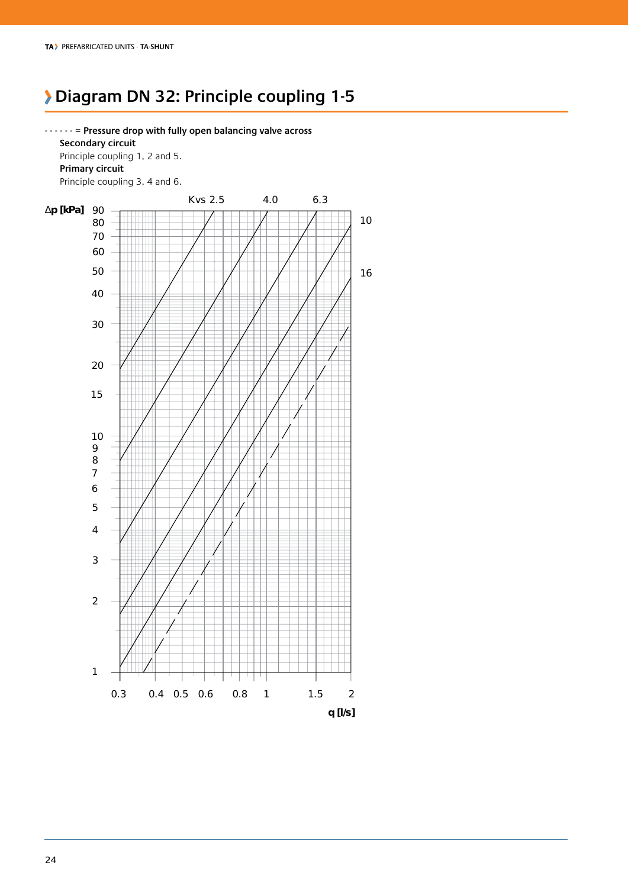### **Diagram DN 32: Principle coupling 1-5**

**- - - - - -** = **Pressure drop with fully open balancing valve across** 

 **Secondary circuit** Principle coupling 1, 2 and 5.  **Primary circuit** Principle coupling 3, 4 and 6. ∆**p [kPa]** 90 0.3 0.4 0.5 0.6 0.8 1 1.5 2 **q [l/s]** Kvs 2.5 4.0 6.3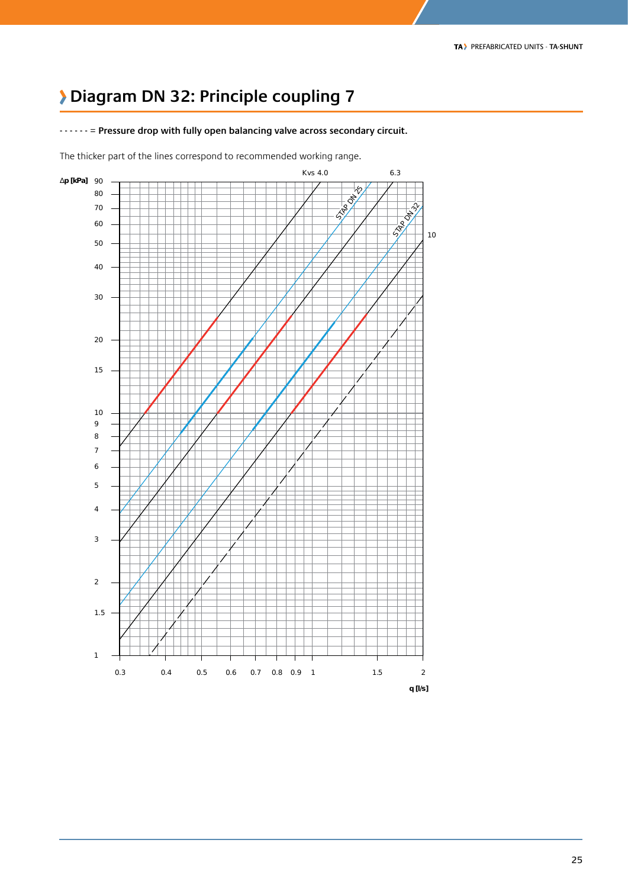### **Diagram DN 32: Principle coupling 7**

**- - - - - -** = **Pressure drop with fully open balancing valve across secondary circuit.**

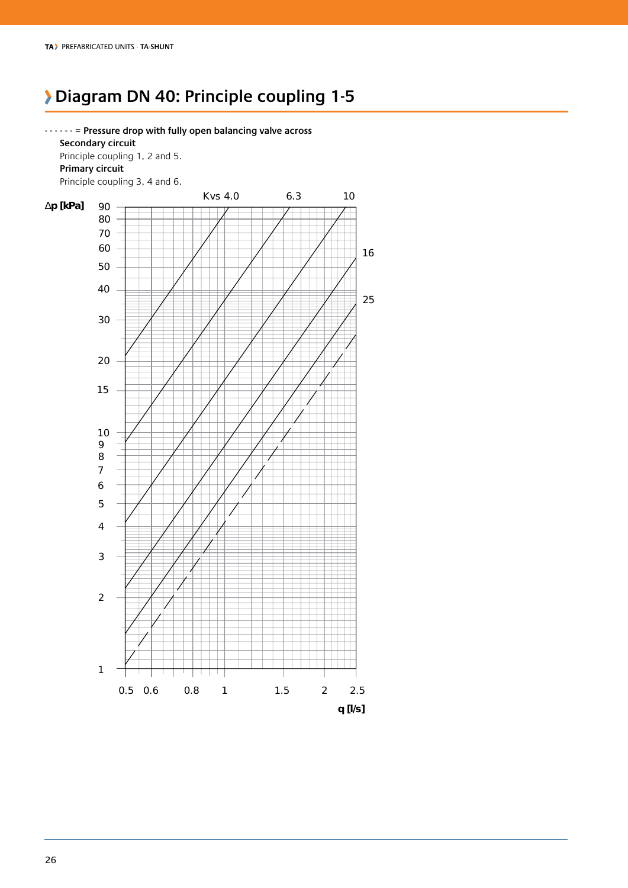### **Diagram DN 40: Principle coupling 1-5**

**- - - - - -** = **Pressure drop with fully open balancing valve across** 

 **Secondary circuit** Principle coupling 1, 2 and 5.  **Primary circuit** Principle coupling 3, 4 and 6. Kvs 4.0 6.3 10 ∆**p [kPa]** 90 L 0.5 0.6 0.8 1 1.5 2 2.5 **q [l/s]**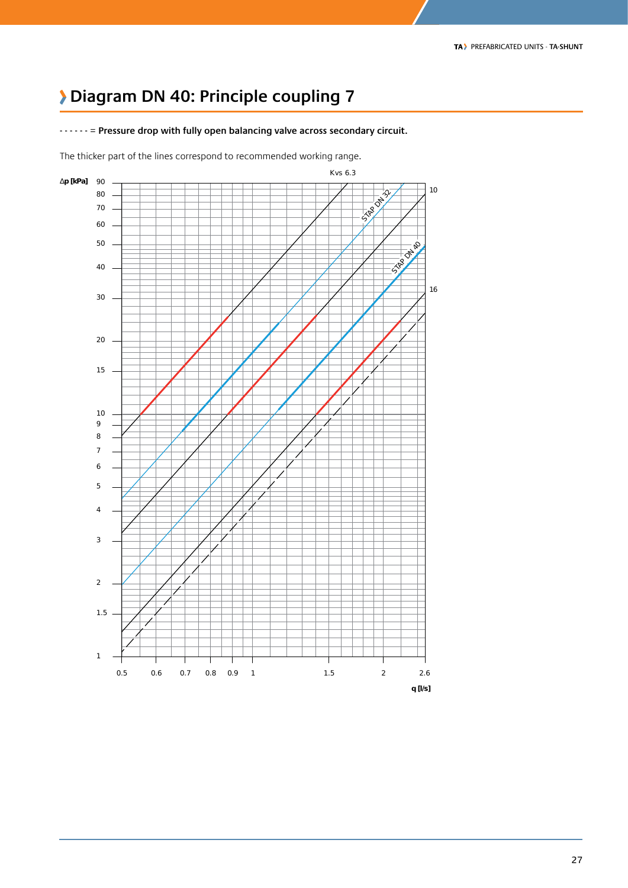### **Diagram DN 40: Principle coupling 7**

**- - - - - -** = **Pressure drop with fully open balancing valve across secondary circuit.**

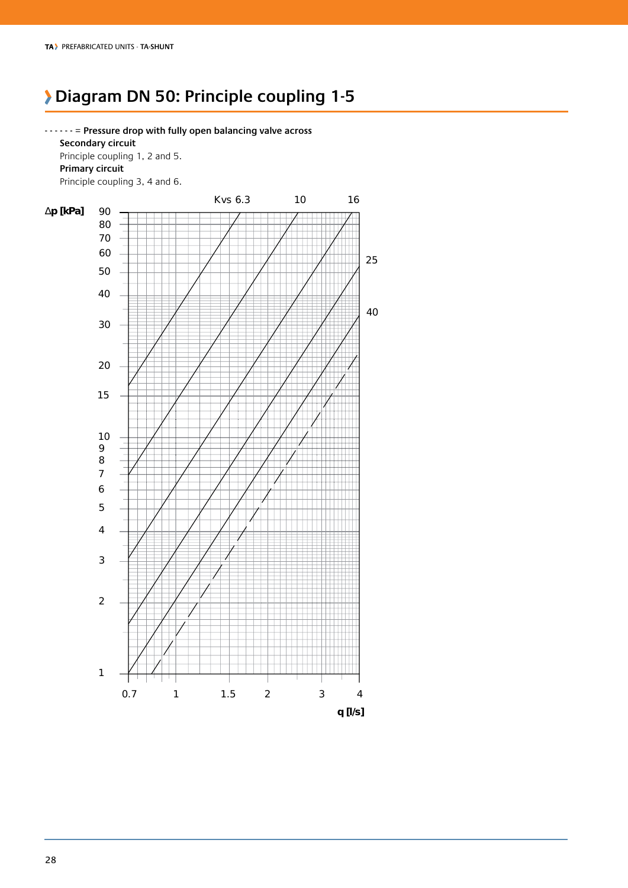### **Diagram DN 50: Principle coupling 1-5**

**- - - - - -** = **Pressure drop with fully open balancing valve across Secondary circuit** Principle coupling 1, 2 and 5.  **Primary circuit**

Principle coupling 3, 4 and 6.

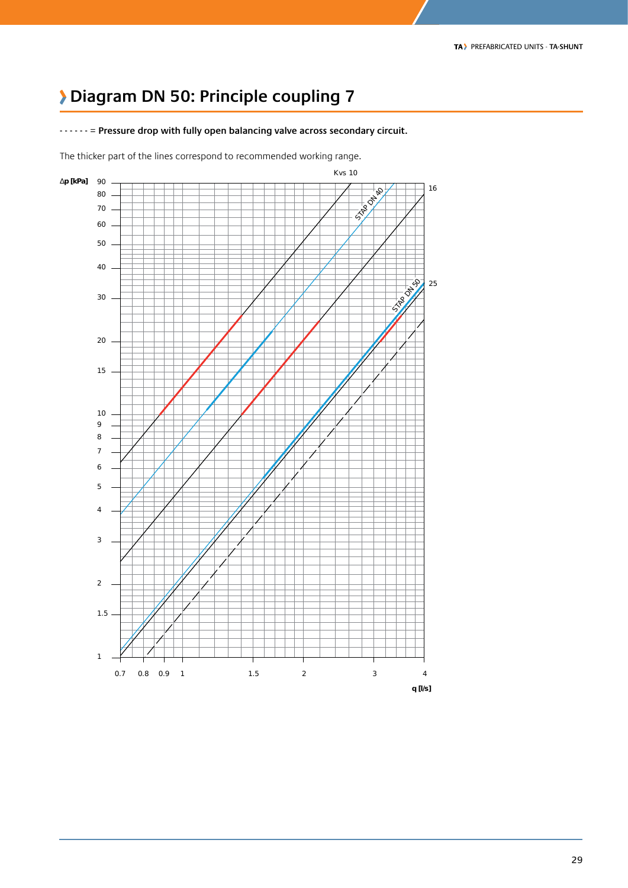### **Diagram DN 50: Principle coupling 7**

**- - - - - -** = **Pressure drop with fully open balancing valve across secondary circuit.**

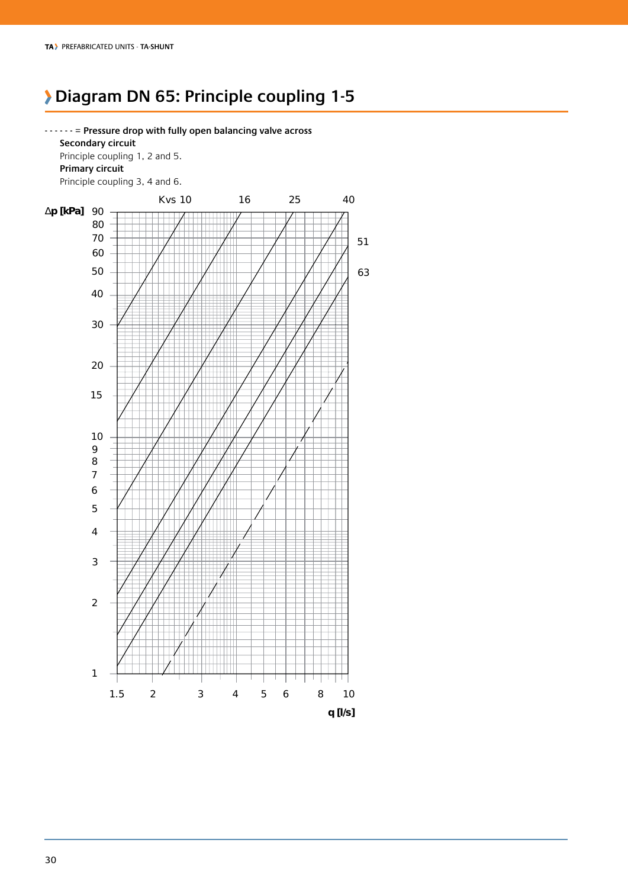### **Diagram DN 65: Principle coupling 1-5**

**- - - - - -** = **Pressure drop with fully open balancing valve across Secondary circuit** Principle coupling 1, 2 and 5.  **Primary circuit**

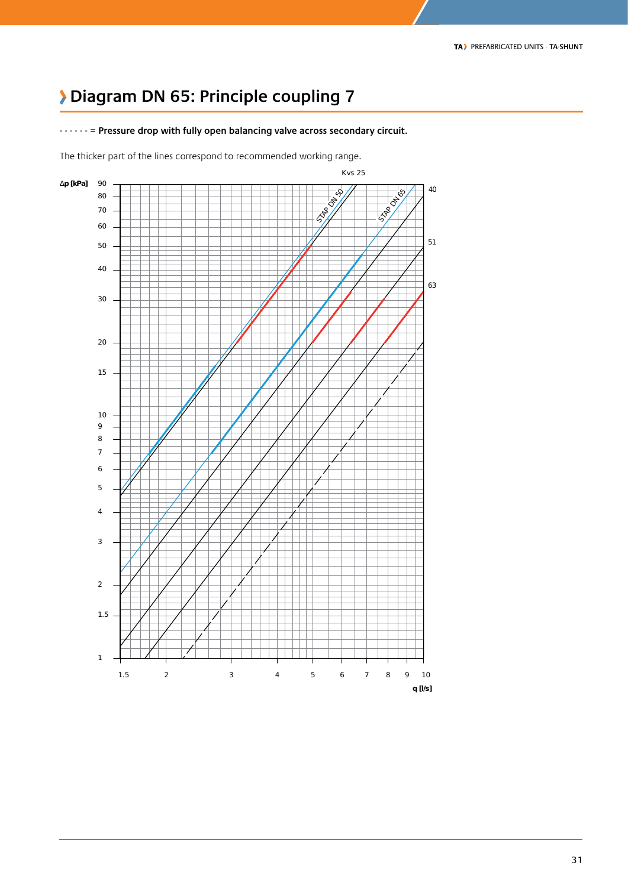### **Diagram DN 65: Principle coupling 7**

**- - - - - -** = **Pressure drop with fully open balancing valve across secondary circuit.**

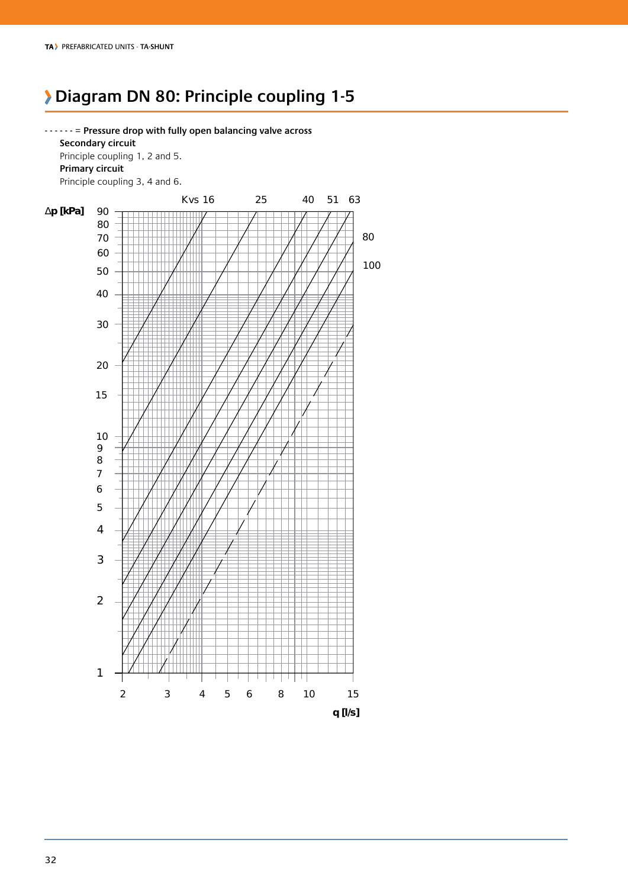### **Diagram DN 80: Principle coupling 1-5**

**- - - - - -** = **Pressure drop with fully open balancing valve across Secondary circuit** Principle coupling 1, 2 and 5.  **Primary circuit** Principle coupling 3, 4 and 6.

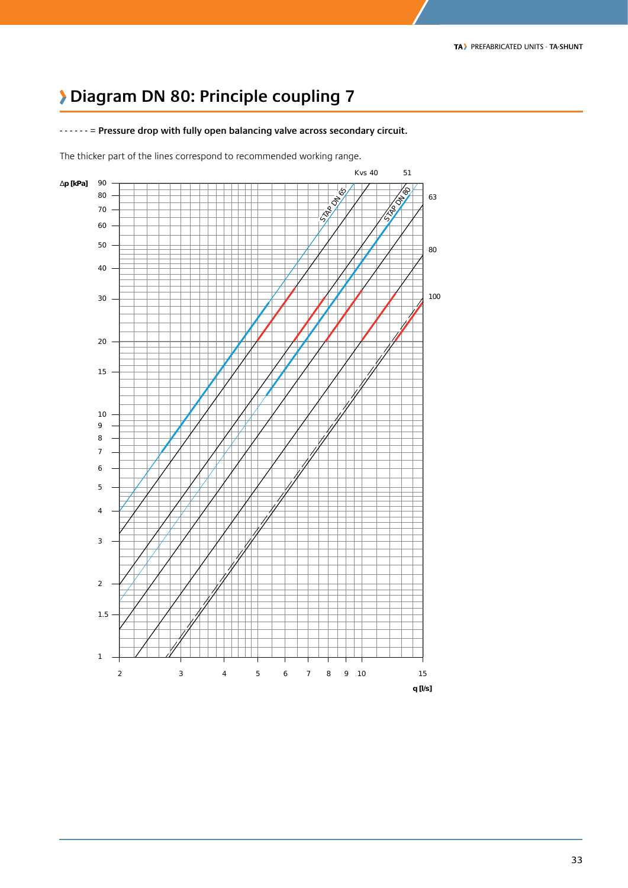### **Diagram DN 80: Principle coupling 7**



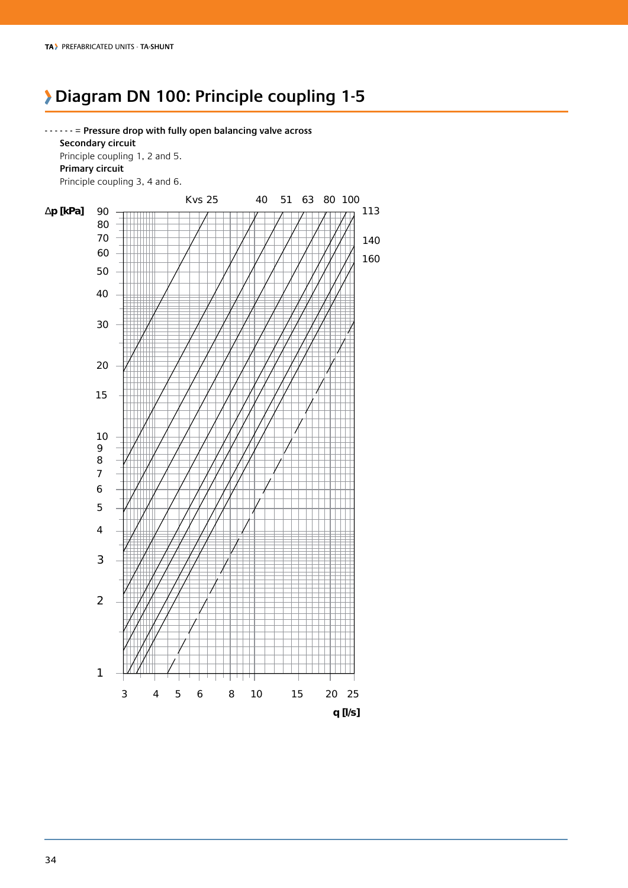### **Diagram DN 100: Principle coupling 1-5**

**- - - - - -** = **Pressure drop with fully open balancing valve across Secondary circuit** Principle coupling 1, 2 and 5.  **Primary circuit** Principle coupling 3, 4 and 6.